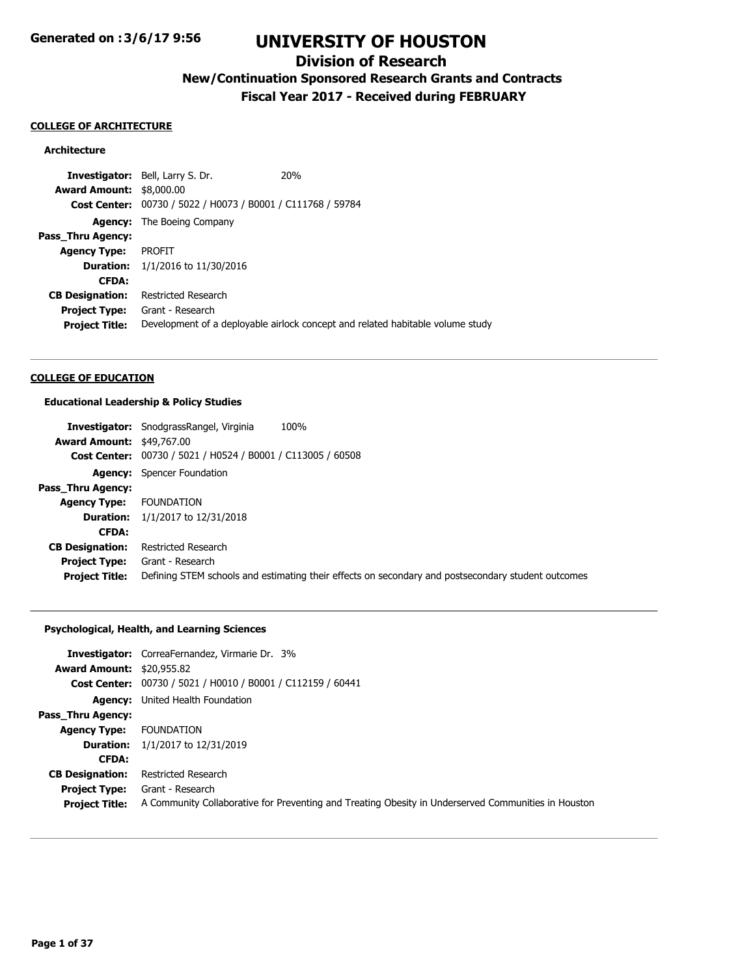## **Division of Research**

**New/Continuation Sponsored Research Grants and Contracts**

**Fiscal Year 2017 - Received during FEBRUARY**

#### **COLLEGE OF ARCHITECTURE**

## **Architecture**

**Investigator:** Bell, Larry S. Dr. 20% **Award Amount:** \$8,000.00 **Cost Center:** 00730 / 5022 / H0073 / B0001 / C111768 / 59784 **Agency:** The Boeing Company **Pass\_Thru Agency: Agency Type:** PROFIT **Duration:** 1/1/2016 to 11/30/2016 **CFDA: CB Designation:** Restricted Research **Project Type:** Grant - Research Project Title: Development of a deployable airlock concept and related habitable volume study

## **COLLEGE OF EDUCATION**

### **Educational Leadership & Policy Studies**

|                                  | 100%<br><b>Investigator:</b> SnodgrassRangel, Virginia                                             |
|----------------------------------|----------------------------------------------------------------------------------------------------|
| <b>Award Amount: \$49,767.00</b> |                                                                                                    |
|                                  | Cost Center: 00730 / 5021 / H0524 / B0001 / C113005 / 60508                                        |
|                                  | <b>Agency:</b> Spencer Foundation                                                                  |
| Pass Thru Agency:                |                                                                                                    |
| <b>Agency Type:</b>              | <b>FOUNDATION</b>                                                                                  |
| <b>Duration:</b>                 | 1/1/2017 to 12/31/2018                                                                             |
| <b>CFDA:</b>                     |                                                                                                    |
| <b>CB Designation:</b>           | Restricted Research                                                                                |
| <b>Project Type:</b>             | Grant - Research                                                                                   |
| <b>Project Title:</b>            | Defining STEM schools and estimating their effects on secondary and postsecondary student outcomes |

## **Psychological, Health, and Learning Sciences**

|                                  | <b>Investigator:</b> CorreaFernandez, Virmarie Dr. 3%                                               |
|----------------------------------|-----------------------------------------------------------------------------------------------------|
| <b>Award Amount: \$20,955.82</b> |                                                                                                     |
|                                  | Cost Center: 00730 / 5021 / H0010 / B0001 / C112159 / 60441                                         |
|                                  | <b>Agency:</b> United Health Foundation                                                             |
| Pass Thru Agency:                |                                                                                                     |
| <b>Agency Type:</b>              | <b>FOUNDATION</b>                                                                                   |
|                                  | <b>Duration:</b> $1/1/2017$ to $12/31/2019$                                                         |
| <b>CFDA:</b>                     |                                                                                                     |
| <b>CB Designation:</b>           | Restricted Research                                                                                 |
| <b>Project Type:</b>             | Grant - Research                                                                                    |
| <b>Project Title:</b>            | A Community Collaborative for Preventing and Treating Obesity in Underserved Communities in Houston |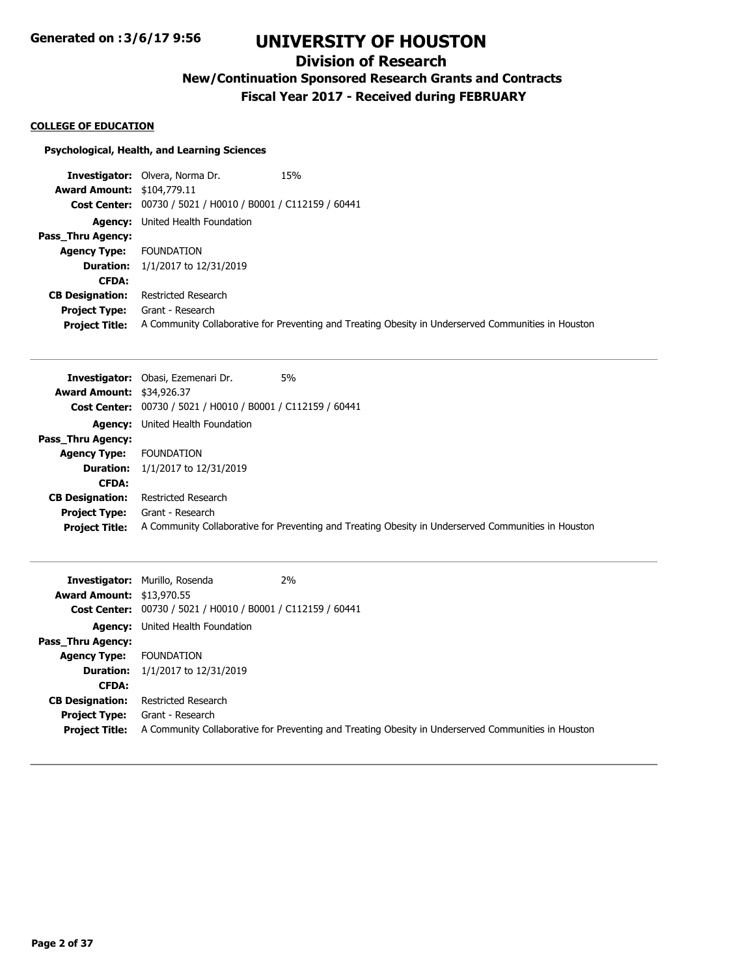# **Division of Research**

**New/Continuation Sponsored Research Grants and Contracts**

**Fiscal Year 2017 - Received during FEBRUARY**

#### **COLLEGE OF EDUCATION**

#### **Psychological, Health, and Learning Sciences**

**Investigator:** Olvera, Norma Dr. 15% **Award Amount:** \$104,779.11 **Cost Center:** 00730 / 5021 / H0010 / B0001 / C112159 / 60441 **Agency:** United Health Foundation **Pass\_Thru Agency: Agency Type:** FOUNDATION **Duration:** 1/1/2017 to 12/31/2019 **CFDA: CB Designation:** Restricted Research **Project Type:** Grant - Research **Project Title:** A Community Collaborative for Preventing and Treating Obesity in Underserved Communities in Houston

|                                  | 5%<br><b>Investigator:</b> Obasi, Ezemenari Dr.                                                     |
|----------------------------------|-----------------------------------------------------------------------------------------------------|
| <b>Award Amount: \$34,926.37</b> |                                                                                                     |
|                                  | <b>Cost Center:</b> 00730 / 5021 / H0010 / B0001 / C112159 / 60441                                  |
|                                  | <b>Agency:</b> United Health Foundation                                                             |
| Pass Thru Agency:                |                                                                                                     |
| <b>Agency Type:</b>              | FOUNDATION                                                                                          |
|                                  | <b>Duration:</b> $1/1/2017$ to $12/31/2019$                                                         |
| <b>CFDA:</b>                     |                                                                                                     |
| <b>CB Designation:</b>           | Restricted Research                                                                                 |
| <b>Project Type:</b>             | Grant - Research                                                                                    |
| <b>Project Title:</b>            | A Community Collaborative for Preventing and Treating Obesity in Underserved Communities in Houston |

| <b>Award Amount: \$13,970.55</b>              | <b>Investigator:</b> Murillo, Rosenda<br><b>Cost Center:</b> 00730 / 5021 / H0010 / B0001 / C112159 / 60441 | 2%                                                                                                  |
|-----------------------------------------------|-------------------------------------------------------------------------------------------------------------|-----------------------------------------------------------------------------------------------------|
|                                               | <b>Agency:</b> United Health Foundation                                                                     |                                                                                                     |
| <b>Pass Thru Agency:</b>                      |                                                                                                             |                                                                                                     |
| <b>Agency Type:</b>                           | FOUNDATION                                                                                                  |                                                                                                     |
|                                               | <b>Duration:</b> $1/1/2017$ to $12/31/2019$                                                                 |                                                                                                     |
| <b>CFDA:</b>                                  |                                                                                                             |                                                                                                     |
| <b>CB Designation:</b>                        | Restricted Research                                                                                         |                                                                                                     |
| <b>Project Type:</b><br><b>Project Title:</b> | Grant - Research                                                                                            | A Community Collaborative for Preventing and Treating Obesity in Underserved Communities in Houston |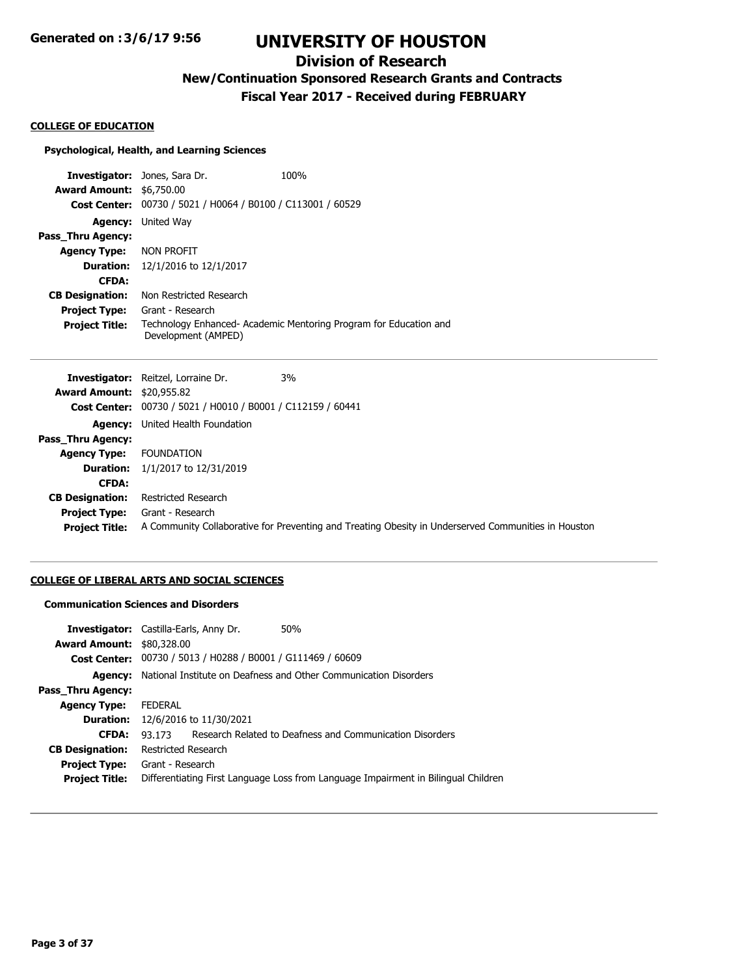# **Division of Research**

**New/Continuation Sponsored Research Grants and Contracts**

**Fiscal Year 2017 - Received during FEBRUARY**

#### **COLLEGE OF EDUCATION**

## **Psychological, Health, and Learning Sciences**

|                                 | <b>Investigator:</b> Jones, Sara Dr.           | 100%                                                             |
|---------------------------------|------------------------------------------------|------------------------------------------------------------------|
| <b>Award Amount: \$6,750.00</b> |                                                |                                                                  |
| <b>Cost Center:</b>             | 00730 / 5021 / H0064 / B0100 / C113001 / 60529 |                                                                  |
| Agency:                         | United Way                                     |                                                                  |
| Pass Thru Agency:               |                                                |                                                                  |
| <b>Agency Type:</b>             | Non profit                                     |                                                                  |
|                                 | <b>Duration:</b> $12/1/2016$ to $12/1/2017$    |                                                                  |
| <b>CFDA:</b>                    |                                                |                                                                  |
| <b>CB Designation:</b>          | Non Restricted Research                        |                                                                  |
| <b>Project Type:</b>            | Grant - Research                               |                                                                  |
| <b>Project Title:</b>           | Development (AMPED)                            | Technology Enhanced-Academic Mentoring Program for Education and |

| 3%<br><b>Investigator:</b> Reitzel, Lorraine Dr.                                                    |
|-----------------------------------------------------------------------------------------------------|
| <b>Award Amount: \$20,955.82</b>                                                                    |
| Cost Center: 00730 / 5021 / H0010 / B0001 / C112159 / 60441                                         |
| <b>Agency:</b> United Health Foundation                                                             |
|                                                                                                     |
| <b>FOUNDATION</b>                                                                                   |
| 1/1/2017 to 12/31/2019                                                                              |
|                                                                                                     |
| Restricted Research                                                                                 |
| Grant - Research                                                                                    |
| A Community Collaborative for Preventing and Treating Obesity in Underserved Communities in Houston |
|                                                                                                     |

## **COLLEGE OF LIBERAL ARTS AND SOCIAL SCIENCES**

### **Communication Sciences and Disorders**

| <b>Investigator:</b> Castilla-Earls, Anny Dr. |                                                                  |                                                | 50%                                                                                |
|-----------------------------------------------|------------------------------------------------------------------|------------------------------------------------|------------------------------------------------------------------------------------|
| <b>Award Amount: \$80,328.00</b>              |                                                                  |                                                |                                                                                    |
| <b>Cost Center:</b>                           |                                                                  | 00730 / 5013 / H0288 / B0001 / G111469 / 60609 |                                                                                    |
| Agency:                                       | National Institute on Deafness and Other Communication Disorders |                                                |                                                                                    |
| <b>Pass Thru Agency:</b>                      |                                                                  |                                                |                                                                                    |
| <b>Agency Type:</b>                           | FEDERAL                                                          |                                                |                                                                                    |
|                                               | <b>Duration:</b> 12/6/2016 to 11/30/2021                         |                                                |                                                                                    |
| <b>CFDA:</b>                                  | 93 173                                                           |                                                | Research Related to Deafness and Communication Disorders                           |
| <b>CB Designation:</b>                        | Restricted Research                                              |                                                |                                                                                    |
| <b>Project Type:</b>                          | Grant - Research                                                 |                                                |                                                                                    |
| <b>Project Title:</b>                         |                                                                  |                                                | Differentiating First Language Loss from Language Impairment in Bilingual Children |
|                                               |                                                                  |                                                |                                                                                    |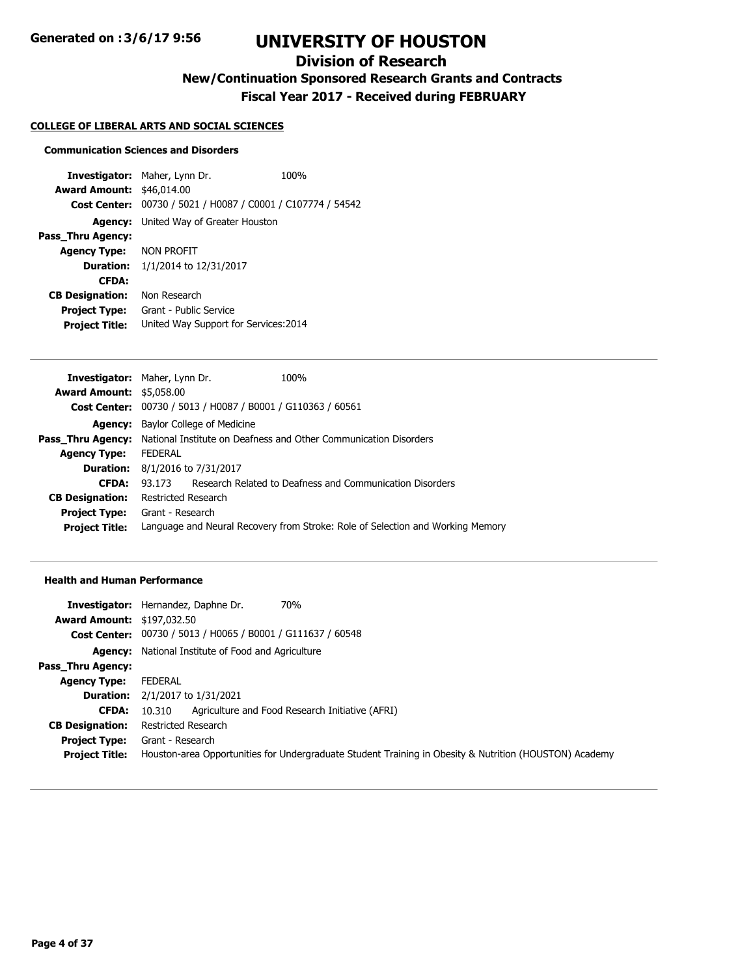# **Division of Research**

**New/Continuation Sponsored Research Grants and Contracts**

**Fiscal Year 2017 - Received during FEBRUARY**

#### **COLLEGE OF LIBERAL ARTS AND SOCIAL SCIENCES**

#### **Communication Sciences and Disorders**

**Investigator:** Maher, Lynn Dr. 100% **Award Amount:** \$46,014.00 **Cost Center:** 00730 / 5021 / H0087 / C0001 / C107774 / 54542 **Agency:** United Way of Greater Houston **Pass\_Thru Agency: Agency Type:** NON PROFIT **Duration:** 1/1/2014 to 12/31/2017 **CFDA: CB Designation:** Non Research **Project Type:** Grant - Public Service **Project Title:** United Way Support for Services:2014

| <b>Investigator:</b> Maher, Lynn Dr. |                                                                                           |  | 100%                                                     |
|--------------------------------------|-------------------------------------------------------------------------------------------|--|----------------------------------------------------------|
| <b>Award Amount: \$5,058.00</b>      |                                                                                           |  |                                                          |
|                                      | Cost Center: 00730 / 5013 / H0087 / B0001 / G110363 / 60561                               |  |                                                          |
| Agency:                              | Baylor College of Medicine                                                                |  |                                                          |
|                                      | <b>Pass Thru Agency:</b> National Institute on Deafness and Other Communication Disorders |  |                                                          |
| <b>Agency Type:</b>                  | <b>FEDERAL</b>                                                                            |  |                                                          |
| <b>Duration:</b>                     | 8/1/2016 to 7/31/2017                                                                     |  |                                                          |
| <b>CFDA:</b>                         | 93.173                                                                                    |  | Research Related to Deafness and Communication Disorders |
| <b>CB Designation:</b>               | Restricted Research                                                                       |  |                                                          |
| <b>Project Type:</b>                 | Grant - Research                                                                          |  |                                                          |
| <b>Project Title:</b>                | Language and Neural Recovery from Stroke: Role of Selection and Working Memory            |  |                                                          |
|                                      |                                                                                           |  |                                                          |

|                                   | <b>70%</b><br><b>Investigator:</b> Hernandez, Daphne Dr.                                               |
|-----------------------------------|--------------------------------------------------------------------------------------------------------|
| <b>Award Amount: \$197,032.50</b> |                                                                                                        |
|                                   | Cost Center: 00730 / 5013 / H0065 / B0001 / G111637 / 60548                                            |
|                                   | <b>Agency:</b> National Institute of Food and Agriculture                                              |
| <b>Pass Thru Agency:</b>          |                                                                                                        |
| <b>Agency Type:</b>               | <b>FEDERAL</b>                                                                                         |
| <b>Duration:</b>                  | 2/1/2017 to 1/31/2021                                                                                  |
| <b>CFDA:</b>                      | Agriculture and Food Research Initiative (AFRI)<br>10.310                                              |
| <b>CB Designation:</b>            | <b>Restricted Research</b>                                                                             |
| <b>Project Type:</b>              | Grant - Research                                                                                       |
| <b>Project Title:</b>             | Houston-area Opportunities for Undergraduate Student Training in Obesity & Nutrition (HOUSTON) Academy |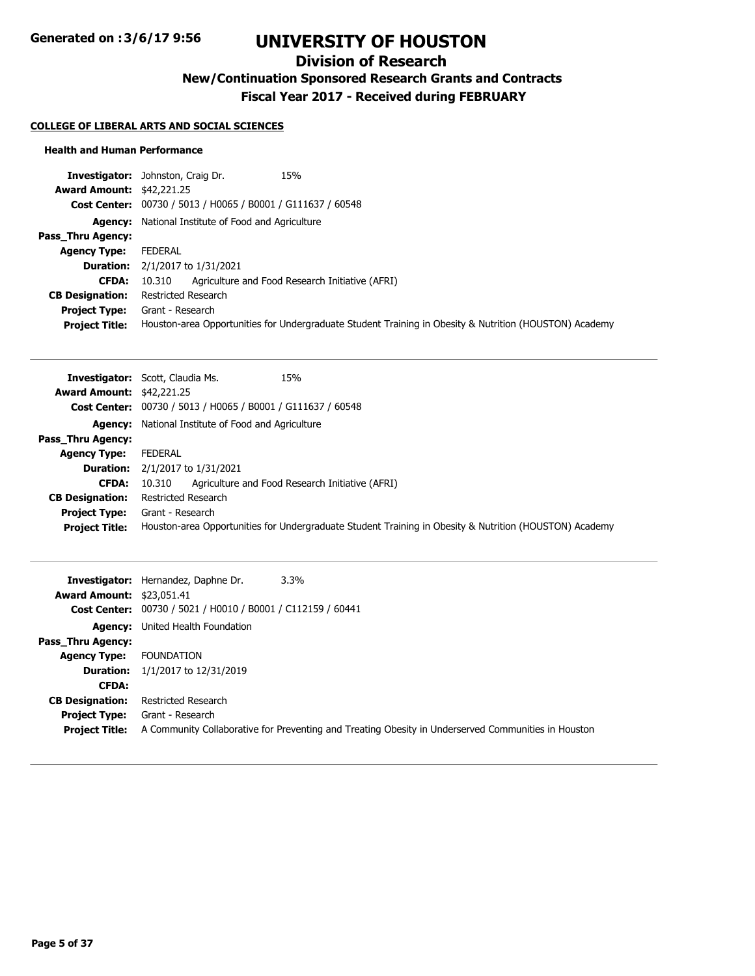# **Division of Research**

**New/Continuation Sponsored Research Grants and Contracts**

**Fiscal Year 2017 - Received during FEBRUARY**

### **COLLEGE OF LIBERAL ARTS AND SOCIAL SCIENCES**

|                                  | 15%<br><b>Investigator:</b> Johnston, Craig Dr.                                                        |
|----------------------------------|--------------------------------------------------------------------------------------------------------|
| <b>Award Amount: \$42,221.25</b> |                                                                                                        |
|                                  | Cost Center: 00730 / 5013 / H0065 / B0001 / G111637 / 60548                                            |
|                                  | <b>Agency:</b> National Institute of Food and Agriculture                                              |
| <b>Pass Thru Agency:</b>         |                                                                                                        |
| <b>Agency Type:</b>              | FEDERAL                                                                                                |
|                                  | <b>Duration:</b> $2/1/2017$ to $1/31/2021$                                                             |
| <b>CFDA:</b>                     | Agriculture and Food Research Initiative (AFRI)<br>10.310                                              |
| <b>CB Designation:</b>           | Restricted Research                                                                                    |
| <b>Project Type:</b>             | Grant - Research                                                                                       |
| <b>Project Title:</b>            | Houston-area Opportunities for Undergraduate Student Training in Obesity & Nutrition (HOUSTON) Academy |

|                                  | 15%<br><b>Investigator:</b> Scott, Claudia Ms.                                                         |
|----------------------------------|--------------------------------------------------------------------------------------------------------|
| <b>Award Amount: \$42,221.25</b> |                                                                                                        |
|                                  | Cost Center: 00730 / 5013 / H0065 / B0001 / G111637 / 60548                                            |
|                                  | <b>Agency:</b> National Institute of Food and Agriculture                                              |
| Pass Thru Agency:                |                                                                                                        |
| <b>Agency Type:</b>              | FEDERAL                                                                                                |
| <b>Duration:</b>                 | 2/1/2017 to 1/31/2021                                                                                  |
| <b>CFDA:</b>                     | Agriculture and Food Research Initiative (AFRI)<br>10.310                                              |
| <b>CB Designation:</b>           | <b>Restricted Research</b>                                                                             |
| <b>Project Type:</b>             | Grant - Research                                                                                       |
| <b>Project Title:</b>            | Houston-area Opportunities for Undergraduate Student Training in Obesity & Nutrition (HOUSTON) Academy |

|                                               | $3.3\%$<br><b>Investigator:</b> Hernandez, Daphne Dr.                                                                   |
|-----------------------------------------------|-------------------------------------------------------------------------------------------------------------------------|
| <b>Award Amount: \$23,051.41</b>              |                                                                                                                         |
|                                               | Cost Center: 00730 / 5021 / H0010 / B0001 / C112159 / 60441                                                             |
|                                               | <b>Agency:</b> United Health Foundation                                                                                 |
| <b>Pass Thru Agency:</b>                      |                                                                                                                         |
| <b>Agency Type:</b>                           | <b>FOUNDATION</b>                                                                                                       |
|                                               | <b>Duration:</b> $1/1/2017$ to $12/31/2019$                                                                             |
| <b>CFDA:</b>                                  |                                                                                                                         |
| <b>CB Designation:</b>                        | Restricted Research                                                                                                     |
| <b>Project Type:</b><br><b>Project Title:</b> | Grant - Research<br>A Community Collaborative for Preventing and Treating Obesity in Underserved Communities in Houston |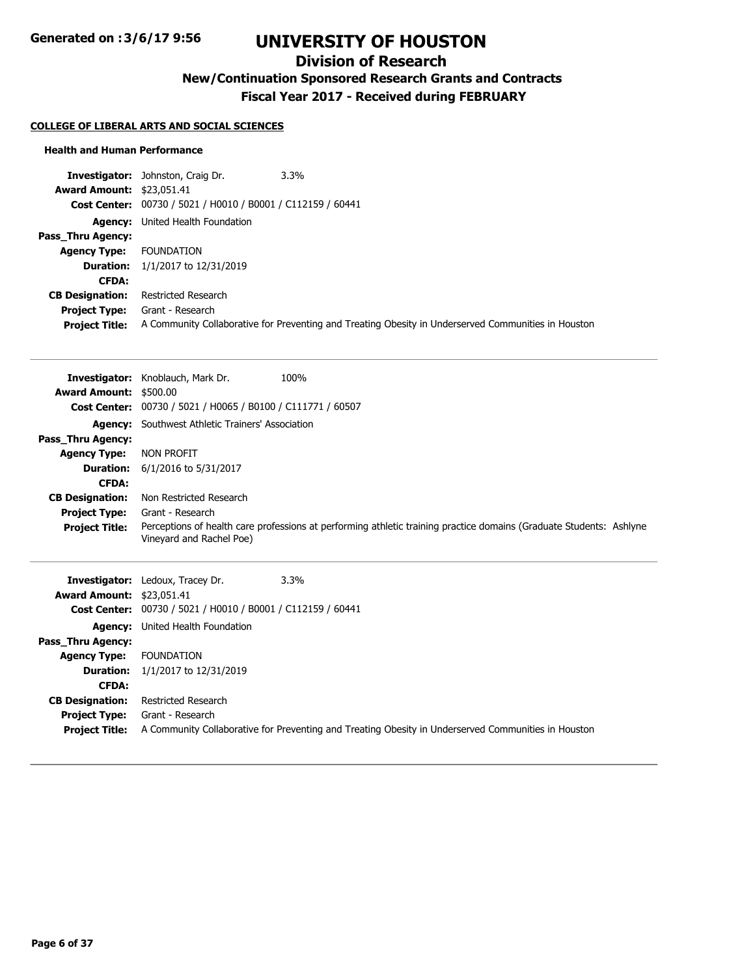# **Division of Research**

**New/Continuation Sponsored Research Grants and Contracts**

**Fiscal Year 2017 - Received during FEBRUARY**

### **COLLEGE OF LIBERAL ARTS AND SOCIAL SCIENCES**

|                                  | <b>Investigator:</b> Johnston, Craig Dr.                    | $3.3\%$                                                                                             |
|----------------------------------|-------------------------------------------------------------|-----------------------------------------------------------------------------------------------------|
| <b>Award Amount: \$23,051.41</b> |                                                             |                                                                                                     |
|                                  | Cost Center: 00730 / 5021 / H0010 / B0001 / C112159 / 60441 |                                                                                                     |
|                                  | <b>Agency:</b> United Health Foundation                     |                                                                                                     |
| Pass_Thru Agency:                |                                                             |                                                                                                     |
| <b>Agency Type:</b>              | FOUNDATION                                                  |                                                                                                     |
|                                  | <b>Duration:</b> $1/1/2017$ to $12/31/2019$                 |                                                                                                     |
| <b>CFDA:</b>                     |                                                             |                                                                                                     |
| <b>CB Designation:</b>           | Restricted Research                                         |                                                                                                     |
| <b>Project Type:</b>             | Grant - Research                                            |                                                                                                     |
| <b>Project Title:</b>            |                                                             | A Community Collaborative for Preventing and Treating Obesity in Underserved Communities in Houston |

|                               | 100%<br><b>Investigator:</b> Knoblauch, Mark Dr.                                                                                                |
|-------------------------------|-------------------------------------------------------------------------------------------------------------------------------------------------|
| <b>Award Amount: \$500.00</b> |                                                                                                                                                 |
|                               | <b>Cost Center:</b> 00730 / 5021 / H0065 / B0100 / C111771 / 60507                                                                              |
| Agency:                       | Southwest Athletic Trainers' Association                                                                                                        |
| Pass_Thru Agency:             |                                                                                                                                                 |
| <b>Agency Type:</b>           | NON PROFIT                                                                                                                                      |
| <b>Duration:</b>              | 6/1/2016 to 5/31/2017                                                                                                                           |
| <b>CFDA:</b>                  |                                                                                                                                                 |
| <b>CB Designation:</b>        | Non Restricted Research                                                                                                                         |
| <b>Project Type:</b>          | Grant - Research                                                                                                                                |
| <b>Project Title:</b>         | Perceptions of health care professions at performing athletic training practice domains (Graduate Students: Ashlyne<br>Vineyard and Rachel Poe) |
| Investigator <sup>.</sup>     | 3 3%<br>Ledoux Tracev Dr                                                                                                                        |

|                                  | <b>Investigator:</b> Ledoux, Tracey Dr.<br>$3.3\%$                                                  |
|----------------------------------|-----------------------------------------------------------------------------------------------------|
| <b>Award Amount: \$23,051.41</b> |                                                                                                     |
|                                  | Cost Center: 00730 / 5021 / H0010 / B0001 / C112159 / 60441                                         |
|                                  | <b>Agency:</b> United Health Foundation                                                             |
| Pass Thru Agency:                |                                                                                                     |
| <b>Agency Type:</b>              | FOUNDATION                                                                                          |
|                                  | <b>Duration:</b> $1/1/2017$ to $12/31/2019$                                                         |
| <b>CFDA:</b>                     |                                                                                                     |
| <b>CB Designation:</b>           | Restricted Research                                                                                 |
| <b>Project Type:</b>             | Grant - Research                                                                                    |
| <b>Project Title:</b>            | A Community Collaborative for Preventing and Treating Obesity in Underserved Communities in Houston |
|                                  |                                                                                                     |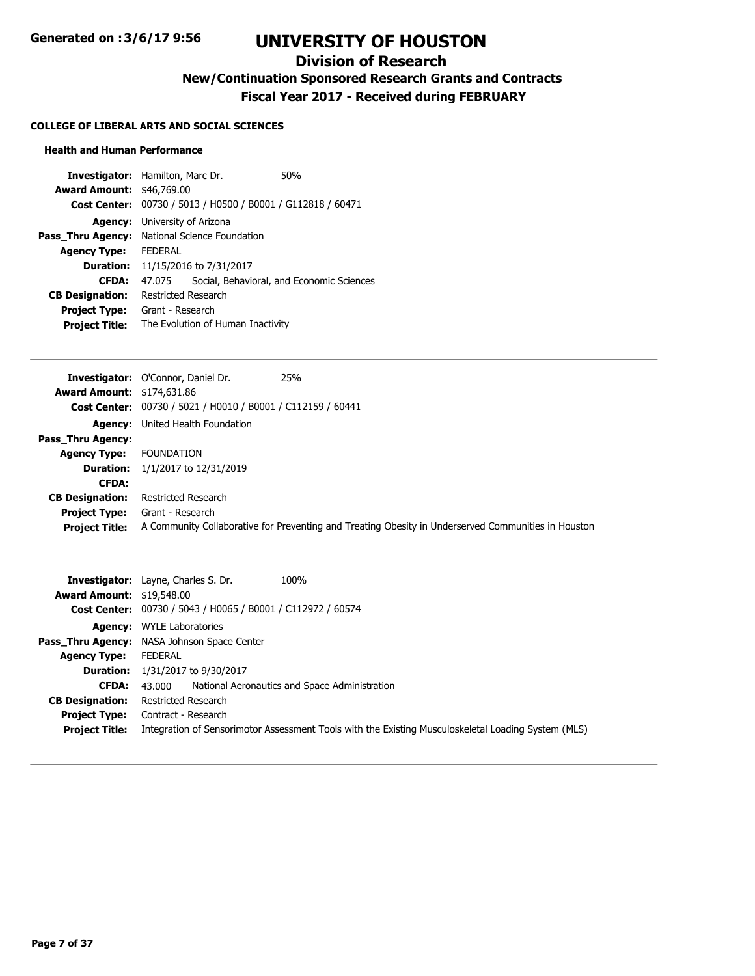# **Division of Research**

**New/Continuation Sponsored Research Grants and Contracts**

**Fiscal Year 2017 - Received during FEBRUARY**

### **COLLEGE OF LIBERAL ARTS AND SOCIAL SCIENCES**

|                                                             |  | 50%                                                                         |
|-------------------------------------------------------------|--|-----------------------------------------------------------------------------|
|                                                             |  |                                                                             |
| Cost Center: 00730 / 5013 / H0500 / B0001 / G112818 / 60471 |  |                                                                             |
| <b>Agency:</b> University of Arizona                        |  |                                                                             |
| National Science Foundation                                 |  |                                                                             |
| <b>FFDFRAI</b>                                              |  |                                                                             |
| <b>Duration:</b> 11/15/2016 to 7/31/2017                    |  |                                                                             |
| 47.075                                                      |  | Social, Behavioral, and Economic Sciences                                   |
| Restricted Research                                         |  |                                                                             |
| Grant - Research                                            |  |                                                                             |
| The Evolution of Human Inactivity                           |  |                                                                             |
|                                                             |  | <b>Investigator:</b> Hamilton, Marc Dr.<br><b>Award Amount: \$46,769.00</b> |

|                                   | 25%<br><b>Investigator:</b> O'Connor, Daniel Dr.                                                    |
|-----------------------------------|-----------------------------------------------------------------------------------------------------|
| <b>Award Amount: \$174,631.86</b> |                                                                                                     |
|                                   | Cost Center: 00730 / 5021 / H0010 / B0001 / C112159 / 60441                                         |
|                                   | <b>Agency:</b> United Health Foundation                                                             |
| Pass Thru Agency:                 |                                                                                                     |
| <b>Agency Type:</b>               | <b>FOUNDATION</b>                                                                                   |
| <b>Duration:</b>                  | 1/1/2017 to 12/31/2019                                                                              |
| <b>CFDA:</b>                      |                                                                                                     |
| <b>CB Designation:</b>            | Restricted Research                                                                                 |
| <b>Project Type:</b>              | Grant - Research                                                                                    |
| <b>Project Title:</b>             | A Community Collaborative for Preventing and Treating Obesity in Underserved Communities in Houston |

| <b>Award Amount: \$19,548.00</b>              | <b>Investigator:</b> Layne, Charles S. Dr.<br>100%                                                                         |
|-----------------------------------------------|----------------------------------------------------------------------------------------------------------------------------|
|                                               | Cost Center: 00730 / 5043 / H0065 / B0001 / C112972 / 60574                                                                |
|                                               | <b>Agency:</b> WYLE Laboratories                                                                                           |
|                                               | <b>Pass_Thru Agency:</b> NASA Johnson Space Center                                                                         |
| <b>Agency Type:</b>                           | FEDERAL                                                                                                                    |
|                                               | <b>Duration:</b> 1/31/2017 to 9/30/2017                                                                                    |
| CFDA:                                         | 43,000 National Aeronautics and Space Administration                                                                       |
| <b>CB Designation:</b>                        | Restricted Research                                                                                                        |
| <b>Project Type:</b><br><b>Project Title:</b> | Contract - Research<br>Integration of Sensorimotor Assessment Tools with the Existing Musculoskeletal Loading System (MLS) |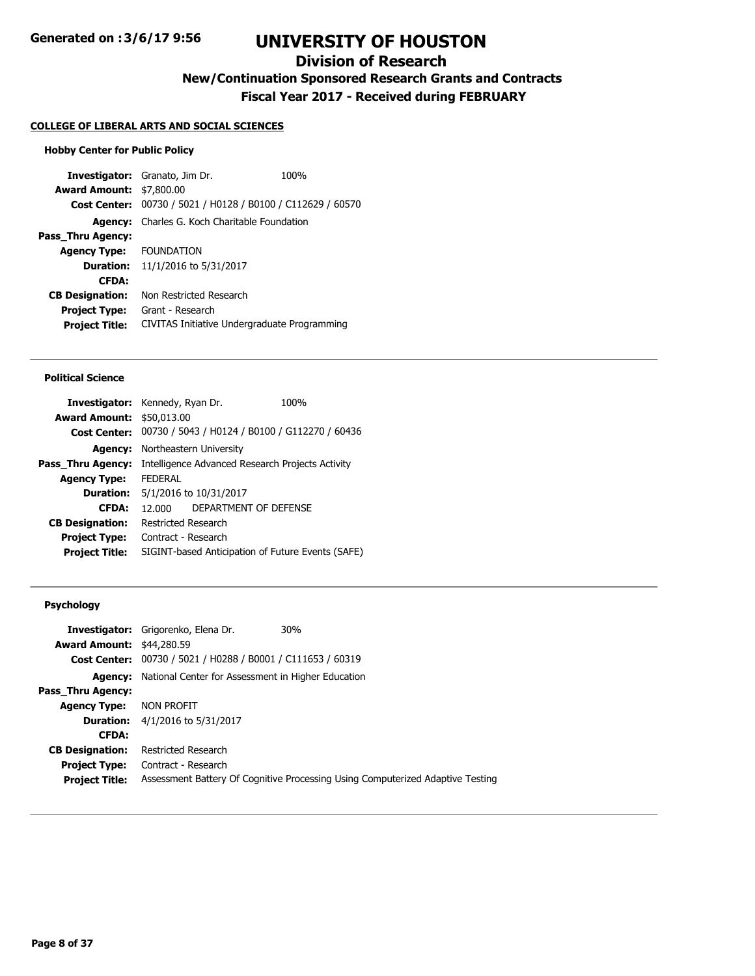# **Division of Research**

**New/Continuation Sponsored Research Grants and Contracts**

**Fiscal Year 2017 - Received during FEBRUARY**

## **COLLEGE OF LIBERAL ARTS AND SOCIAL SCIENCES**

#### **Hobby Center for Public Policy**

**Investigator:** Granato, Jim Dr. 100% **Award Amount:** \$7,800.00 **Cost Center:** 00730 / 5021 / H0128 / B0100 / C112629 / 60570 **Agency:** Charles G. Koch Charitable Foundation **Pass\_Thru Agency: Agency Type:** FOUNDATION **Duration:** 11/1/2016 to 5/31/2017 **CFDA: CB Designation:** Non Restricted Research **Project Type:** Grant - Research **Project Title:** CIVITAS Initiative Undergraduate Programming

#### **Political Science**

| Northeastern University                           |                                  |                                                                                                                                                                                                                                                       |
|---------------------------------------------------|----------------------------------|-------------------------------------------------------------------------------------------------------------------------------------------------------------------------------------------------------------------------------------------------------|
|                                                   |                                  |                                                                                                                                                                                                                                                       |
| <b>FFDFRAI</b>                                    |                                  |                                                                                                                                                                                                                                                       |
|                                                   |                                  |                                                                                                                                                                                                                                                       |
| 12.000                                            |                                  |                                                                                                                                                                                                                                                       |
|                                                   |                                  |                                                                                                                                                                                                                                                       |
|                                                   |                                  |                                                                                                                                                                                                                                                       |
| SIGINT-based Anticipation of Future Events (SAFE) |                                  |                                                                                                                                                                                                                                                       |
|                                                   | <b>Award Amount: \$50,013.00</b> | <b>Investigator:</b> Kennedy, Ryan Dr.<br>100%<br>00730 / 5043 / H0124 / B0100 / G112270 / 60436<br>Intelligence Advanced Research Projects Activity<br>5/1/2016 to 10/31/2017<br>DEPARTMENT OF DEFENSE<br>Restricted Research<br>Contract - Research |

### **Psychology**

| <b>Award Amount: \$44,280.59</b> | <b>Investigator:</b> Grigorenko, Elena Dr.                        | 30%                                                                            |
|----------------------------------|-------------------------------------------------------------------|--------------------------------------------------------------------------------|
|                                  | Cost Center: 00730 / 5021 / H0288 / B0001 / C111653 / 60319       |                                                                                |
|                                  | <b>Agency:</b> National Center for Assessment in Higher Education |                                                                                |
| <b>Pass Thru Agency:</b>         |                                                                   |                                                                                |
| <b>Agency Type:</b>              | NON PROFIT                                                        |                                                                                |
|                                  | <b>Duration:</b> 4/1/2016 to 5/31/2017                            |                                                                                |
| <b>CFDA:</b>                     |                                                                   |                                                                                |
| <b>CB Designation:</b>           | Restricted Research                                               |                                                                                |
| <b>Project Type:</b>             | Contract - Research                                               |                                                                                |
| <b>Project Title:</b>            |                                                                   | Assessment Battery Of Cognitive Processing Using Computerized Adaptive Testing |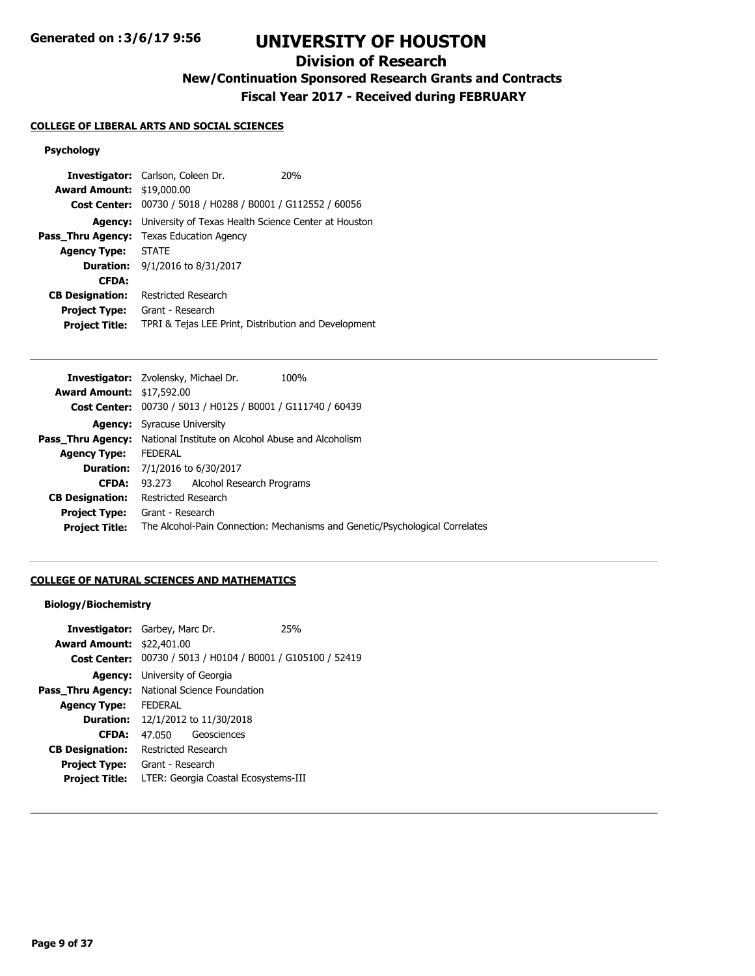# **Division of Research**

**New/Continuation Sponsored Research Grants and Contracts**

**Fiscal Year 2017 - Received during FEBRUARY**

## **COLLEGE OF LIBERAL ARTS AND SOCIAL SCIENCES**

## **Psychology**

|                                  | <b>Investigator:</b> Carlson, Coleen Dr.             | 20 <sub>%</sub> |
|----------------------------------|------------------------------------------------------|-----------------|
| <b>Award Amount: \$19,000.00</b> |                                                      |                 |
| <b>Cost Center:</b>              | 00730 / 5018 / H0288 / B0001 / G112552 / 60056       |                 |
| Agency:                          | University of Texas Health Science Center at Houston |                 |
| Pass_Thru Agency:                | Texas Education Agency                               |                 |
| <b>Agency Type:</b>              | <b>STATE</b>                                         |                 |
|                                  | <b>Duration:</b> $9/1/2016$ to $8/31/2017$           |                 |
| <b>CFDA:</b>                     |                                                      |                 |
| <b>CB Designation:</b>           | Restricted Research                                  |                 |
| <b>Project Type:</b>             | Grant - Research                                     |                 |
| <b>Project Title:</b>            | TPRI & Tejas LEE Print, Distribution and Development |                 |

|                                  | <b>Investigator:</b> Zvolensky, Michael Dr.<br>100%                          |
|----------------------------------|------------------------------------------------------------------------------|
| <b>Award Amount: \$17,592.00</b> |                                                                              |
|                                  | Cost Center: 00730 / 5013 / H0125 / B0001 / G111740 / 60439                  |
|                                  | <b>Agency:</b> Syracuse University                                           |
|                                  | <b>Pass Thru Agency:</b> National Institute on Alcohol Abuse and Alcoholism  |
| <b>Agency Type:</b>              | <b>FEDERAL</b>                                                               |
|                                  | <b>Duration:</b> 7/1/2016 to 6/30/2017                                       |
| <b>CFDA:</b>                     | 93.273 Alcohol Research Programs                                             |
| <b>CB Designation:</b>           | Restricted Research                                                          |
| <b>Project Type:</b>             | Grant - Research                                                             |
| <b>Project Title:</b>            | The Alcohol-Pain Connection: Mechanisms and Genetic/Psychological Correlates |
|                                  |                                                                              |

## **COLLEGE OF NATURAL SCIENCES AND MATHEMATICS**

## **Biology/Biochemistry**

| <b>Investigator:</b> Garbey, Marc Dr.                |                                      |                                                             | 25% |
|------------------------------------------------------|--------------------------------------|-------------------------------------------------------------|-----|
| <b>Award Amount: \$22,401.00</b>                     |                                      |                                                             |     |
|                                                      |                                      | Cost Center: 00730 / 5013 / H0104 / B0001 / G105100 / 52419 |     |
|                                                      | <b>Agency:</b> University of Georgia |                                                             |     |
| <b>Pass Thru Agency:</b> National Science Foundation |                                      |                                                             |     |
| <b>Agency Type:</b>                                  | <b>FEDERAL</b>                       |                                                             |     |
|                                                      |                                      | <b>Duration:</b> 12/1/2012 to 11/30/2018                    |     |
| <b>CFDA:</b>                                         | 47 050                               | Geosciences                                                 |     |
| <b>CB Designation:</b>                               | <b>Restricted Research</b>           |                                                             |     |
| <b>Project Type:</b>                                 | Grant - Research                     |                                                             |     |
| <b>Project Title:</b>                                | LTER: Georgia Coastal Ecosystems-III |                                                             |     |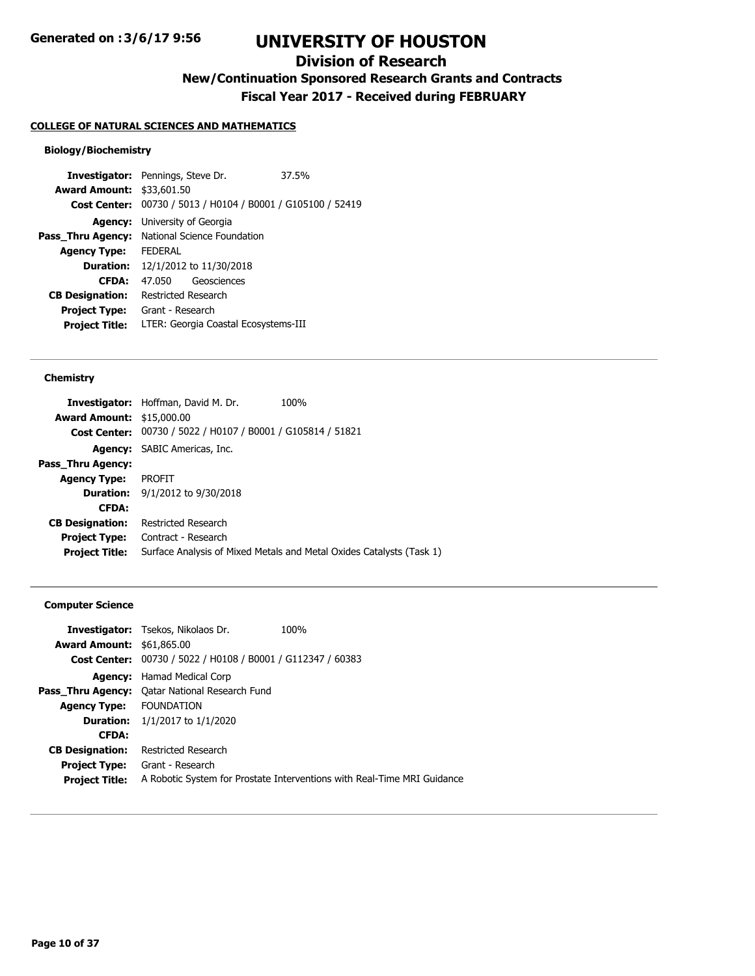# **Division of Research**

**New/Continuation Sponsored Research Grants and Contracts**

**Fiscal Year 2017 - Received during FEBRUARY**

#### **COLLEGE OF NATURAL SCIENCES AND MATHEMATICS**

#### **Biology/Biochemistry**

**Investigator:** Pennings, Steve Dr. 37.5% **Award Amount:** \$33,601.50 **Cost Center:** 00730 / 5013 / H0104 / B0001 / G105100 / 52419 **Agency:** University of Georgia Pass\_Thru Agency: National Science Foundation **Agency Type:** FEDERAL **Duration:** 12/1/2012 to 11/30/2018 **CFDA:** 47.050 Geosciences **CB Designation:** Restricted Research **Project Type:** Grant - Research **Project Title:** LTER: Georgia Coastal Ecosystems-III

#### **Chemistry**

|                                  | <b>Investigator:</b> Hoffman, David M. Dr.                  | 100%                                                                 |
|----------------------------------|-------------------------------------------------------------|----------------------------------------------------------------------|
| <b>Award Amount: \$15,000.00</b> |                                                             |                                                                      |
|                                  | Cost Center: 00730 / 5022 / H0107 / B0001 / G105814 / 51821 |                                                                      |
|                                  | <b>Agency:</b> SABIC Americas, Inc.                         |                                                                      |
| Pass Thru Agency:                |                                                             |                                                                      |
| <b>Agency Type:</b>              | PROFIT                                                      |                                                                      |
|                                  | <b>Duration:</b> 9/1/2012 to 9/30/2018                      |                                                                      |
| <b>CFDA:</b>                     |                                                             |                                                                      |
| <b>CB Designation:</b>           | Restricted Research                                         |                                                                      |
| <b>Project Type:</b>             | Contract - Research                                         |                                                                      |
| <b>Project Title:</b>            |                                                             | Surface Analysis of Mixed Metals and Metal Oxides Catalysts (Task 1) |
|                                  |                                                             |                                                                      |

#### **Computer Science**

|                                  | <b>Investigator:</b> Tsekos, Nikolaos Dr.                   | 100%                                                                    |
|----------------------------------|-------------------------------------------------------------|-------------------------------------------------------------------------|
| <b>Award Amount: \$61,865.00</b> |                                                             |                                                                         |
|                                  | Cost Center: 00730 / 5022 / H0108 / B0001 / G112347 / 60383 |                                                                         |
| Agency:                          | Hamad Medical Corp                                          |                                                                         |
|                                  | <b>Pass Thru Agency:</b> Oatar National Research Fund       |                                                                         |
| <b>Agency Type: FOUNDATION</b>   |                                                             |                                                                         |
|                                  | <b>Duration:</b> $1/1/2017$ to $1/1/2020$                   |                                                                         |
| <b>CFDA:</b>                     |                                                             |                                                                         |
| <b>CB Designation:</b>           | Restricted Research                                         |                                                                         |
| <b>Project Type:</b>             | Grant - Research                                            |                                                                         |
| <b>Project Title:</b>            |                                                             | A Robotic System for Prostate Interventions with Real-Time MRI Guidance |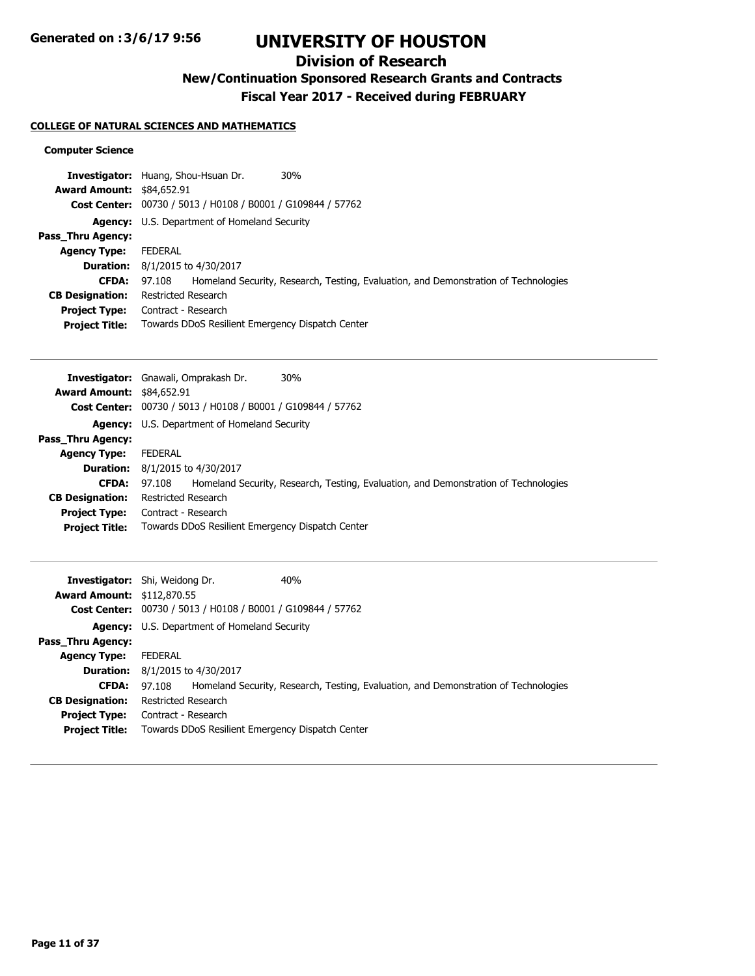# **Division of Research**

**New/Continuation Sponsored Research Grants and Contracts**

**Fiscal Year 2017 - Received during FEBRUARY**

## **COLLEGE OF NATURAL SCIENCES AND MATHEMATICS**

## **Computer Science**

|                                  | 30%<br>Investigator: Huang, Shou-Hsuan Dr.                                                    |  |
|----------------------------------|-----------------------------------------------------------------------------------------------|--|
| <b>Award Amount: \$84,652.91</b> |                                                                                               |  |
|                                  | Cost Center: 00730 / 5013 / H0108 / B0001 / G109844 / 57762                                   |  |
|                                  | <b>Agency:</b> U.S. Department of Homeland Security                                           |  |
| <b>Pass Thru Agency:</b>         |                                                                                               |  |
| <b>Agency Type:</b>              | FEDERAL                                                                                       |  |
|                                  | <b>Duration:</b> 8/1/2015 to 4/30/2017                                                        |  |
| <b>CFDA:</b>                     | Homeland Security, Research, Testing, Evaluation, and Demonstration of Technologies<br>97.108 |  |
| <b>CB Designation:</b>           | Restricted Research                                                                           |  |
| <b>Project Type:</b>             | Contract - Research                                                                           |  |
| <b>Project Title:</b>            | Towards DDoS Resilient Emergency Dispatch Center                                              |  |

|                                  | 30%<br><b>Investigator:</b> Gnawali, Omprakash Dr.                                            |
|----------------------------------|-----------------------------------------------------------------------------------------------|
| <b>Award Amount: \$84,652.91</b> |                                                                                               |
|                                  | Cost Center: 00730 / 5013 / H0108 / B0001 / G109844 / 57762                                   |
|                                  | <b>Agency:</b> U.S. Department of Homeland Security                                           |
| Pass Thru Agency:                |                                                                                               |
| <b>Agency Type:</b>              | FEDERAL                                                                                       |
|                                  | <b>Duration:</b> $8/1/2015$ to $4/30/2017$                                                    |
| <b>CFDA:</b>                     | Homeland Security, Research, Testing, Evaluation, and Demonstration of Technologies<br>97.108 |
| <b>CB Designation:</b>           | <b>Restricted Research</b>                                                                    |
| <b>Project Type:</b>             | Contract - Research                                                                           |
| <b>Project Title:</b>            | Towards DDoS Resilient Emergency Dispatch Center                                              |

|                                   | 40 <sub>%</sub><br><b>Investigator:</b> Shi, Weidong Dr.                                      |  |
|-----------------------------------|-----------------------------------------------------------------------------------------------|--|
| <b>Award Amount: \$112,870.55</b> |                                                                                               |  |
|                                   | Cost Center: 00730 / 5013 / H0108 / B0001 / G109844 / 57762                                   |  |
|                                   | <b>Agency:</b> U.S. Department of Homeland Security                                           |  |
| Pass_Thru Agency:                 |                                                                                               |  |
| <b>Agency Type:</b>               | <b>FEDERAL</b>                                                                                |  |
|                                   | <b>Duration:</b> $8/1/2015$ to $4/30/2017$                                                    |  |
| <b>CFDA:</b>                      | Homeland Security, Research, Testing, Evaluation, and Demonstration of Technologies<br>97.108 |  |
| <b>CB Designation:</b>            | Restricted Research                                                                           |  |
| <b>Project Type:</b>              | Contract - Research                                                                           |  |
| <b>Project Title:</b>             | Towards DDoS Resilient Emergency Dispatch Center                                              |  |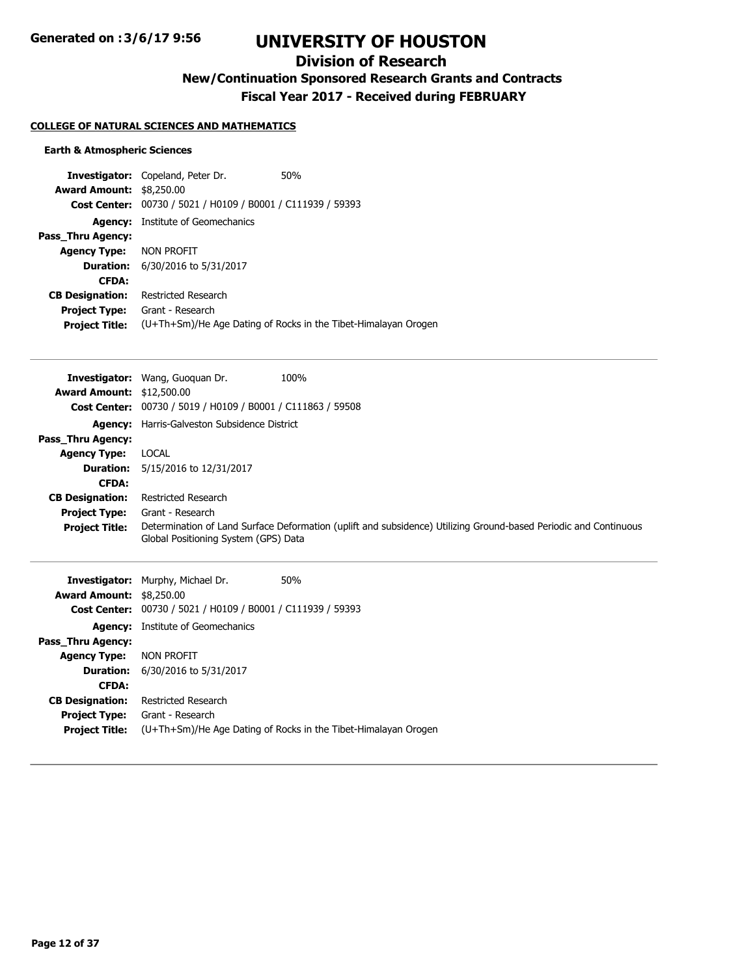# **Division of Research**

**New/Continuation Sponsored Research Grants and Contracts**

**Fiscal Year 2017 - Received during FEBRUARY**

## **COLLEGE OF NATURAL SCIENCES AND MATHEMATICS**

### **Earth & Atmospheric Sciences**

|                          | <b>Investigator:</b> Copeland, Peter Dr.                    | 50%                                                            |
|--------------------------|-------------------------------------------------------------|----------------------------------------------------------------|
| <b>Award Amount:</b>     | \$8,250.00                                                  |                                                                |
|                          | Cost Center: 00730 / 5021 / H0109 / B0001 / C111939 / 59393 |                                                                |
| Agency:                  | Institute of Geomechanics                                   |                                                                |
| <b>Pass Thru Agency:</b> |                                                             |                                                                |
| <b>Agency Type:</b>      | NON PROFIT                                                  |                                                                |
|                          | <b>Duration:</b> 6/30/2016 to 5/31/2017                     |                                                                |
| <b>CFDA:</b>             |                                                             |                                                                |
| <b>CB Designation:</b>   | Restricted Research                                         |                                                                |
| <b>Project Type:</b>     | Grant - Research                                            |                                                                |
| <b>Project Title:</b>    |                                                             | (U+Th+Sm)/He Age Dating of Rocks in the Tibet-Himalayan Orogen |

|                                  | 100%<br><b>Investigator:</b> Wang, Guoguan Dr.                                                                                                           |
|----------------------------------|----------------------------------------------------------------------------------------------------------------------------------------------------------|
| <b>Award Amount: \$12,500.00</b> |                                                                                                                                                          |
|                                  | <b>Cost Center:</b> 00730 / 5019 / H0109 / B0001 / C111863 / 59508                                                                                       |
|                                  | <b>Agency:</b> Harris-Galveston Subsidence District                                                                                                      |
| <b>Pass Thru Agency:</b>         |                                                                                                                                                          |
| <b>Agency Type:</b>              | LOCAL                                                                                                                                                    |
|                                  | <b>Duration:</b> 5/15/2016 to 12/31/2017                                                                                                                 |
| <b>CFDA:</b>                     |                                                                                                                                                          |
| <b>CB Designation:</b>           | <b>Restricted Research</b>                                                                                                                               |
| <b>Project Type:</b>             | Grant - Research                                                                                                                                         |
| <b>Project Title:</b>            | Determination of Land Surface Deformation (uplift and subsidence) Utilizing Ground-based Periodic and Continuous<br>Global Positioning System (GPS) Data |

|                                 | <b>Investigator:</b> Murphy, Michael Dr.       | 50%                                                            |
|---------------------------------|------------------------------------------------|----------------------------------------------------------------|
| <b>Award Amount: \$8,250.00</b> |                                                |                                                                |
| <b>Cost Center:</b>             | 00730 / 5021 / H0109 / B0001 / C111939 / 59393 |                                                                |
| Agency:                         | Institute of Geomechanics                      |                                                                |
| Pass Thru Agency:               |                                                |                                                                |
| <b>Agency Type:</b>             | NON PROFIT                                     |                                                                |
|                                 | <b>Duration:</b> 6/30/2016 to 5/31/2017        |                                                                |
| <b>CFDA:</b>                    |                                                |                                                                |
| <b>CB Designation:</b>          | Restricted Research                            |                                                                |
| <b>Project Type:</b>            | Grant - Research                               |                                                                |
| <b>Project Title:</b>           |                                                | (U+Th+Sm)/He Age Dating of Rocks in the Tibet-Himalayan Orogen |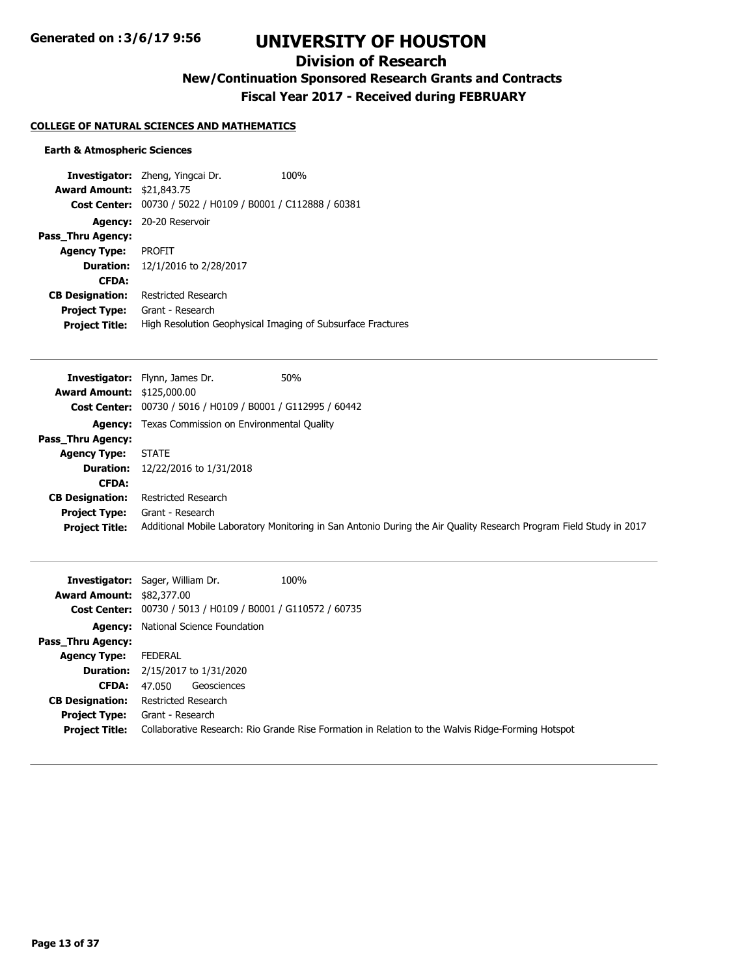# **Division of Research**

**New/Continuation Sponsored Research Grants and Contracts**

**Fiscal Year 2017 - Received during FEBRUARY**

## **COLLEGE OF NATURAL SCIENCES AND MATHEMATICS**

### **Earth & Atmospheric Sciences**

|                                  | <b>Investigator:</b> Zheng, Yingcai Dr.                     | 100% |
|----------------------------------|-------------------------------------------------------------|------|
| <b>Award Amount: \$21,843.75</b> |                                                             |      |
|                                  | Cost Center: 00730 / 5022 / H0109 / B0001 / C112888 / 60381 |      |
| <b>Agency:</b>                   | 20-20 Reservoir                                             |      |
| Pass Thru Agency:                |                                                             |      |
| <b>Agency Type:</b>              | <b>PROFIT</b>                                               |      |
| <b>Duration:</b>                 | 12/1/2016 to 2/28/2017                                      |      |
| <b>CFDA:</b>                     |                                                             |      |
| <b>CB Designation:</b>           | Restricted Research                                         |      |
| <b>Project Type:</b>             | Grant - Research                                            |      |
| <b>Project Title:</b>            | High Resolution Geophysical Imaging of Subsurface Fractures |      |

|                                   | 50%<br><b>Investigator:</b> Flynn, James Dr.                                                                       |
|-----------------------------------|--------------------------------------------------------------------------------------------------------------------|
| <b>Award Amount: \$125,000.00</b> |                                                                                                                    |
|                                   | Cost Center: 00730 / 5016 / H0109 / B0001 / G112995 / 60442                                                        |
|                                   | <b>Agency:</b> Texas Commission on Environmental Quality                                                           |
| Pass_Thru Agency:                 |                                                                                                                    |
| <b>Agency Type:</b>               | <b>STATE</b>                                                                                                       |
|                                   | <b>Duration:</b> 12/22/2016 to 1/31/2018                                                                           |
| <b>CFDA:</b>                      |                                                                                                                    |
| <b>CB Designation:</b>            | <b>Restricted Research</b>                                                                                         |
| <b>Project Type:</b>              | Grant - Research                                                                                                   |
| <b>Project Title:</b>             | Additional Mobile Laboratory Monitoring in San Antonio During the Air Quality Research Program Field Study in 2017 |

| <b>Award Amount: \$82,377.00</b>              | 100%<br><b>Investigator:</b> Sager, William Dr.                                                                       |
|-----------------------------------------------|-----------------------------------------------------------------------------------------------------------------------|
|                                               | Cost Center: 00730 / 5013 / H0109 / B0001 / G110572 / 60735                                                           |
|                                               | <b>Agency:</b> National Science Foundation                                                                            |
| <b>Pass Thru Agency:</b>                      |                                                                                                                       |
| <b>Agency Type:</b>                           | FEDERAL                                                                                                               |
|                                               | <b>Duration:</b> 2/15/2017 to 1/31/2020                                                                               |
| <b>CFDA:</b>                                  | Geosciences<br>47.050                                                                                                 |
| <b>CB Designation:</b>                        | Restricted Research                                                                                                   |
| <b>Project Type:</b><br><b>Project Title:</b> | Grant - Research<br>Collaborative Research: Rio Grande Rise Formation in Relation to the Walvis Ridge-Forming Hotspot |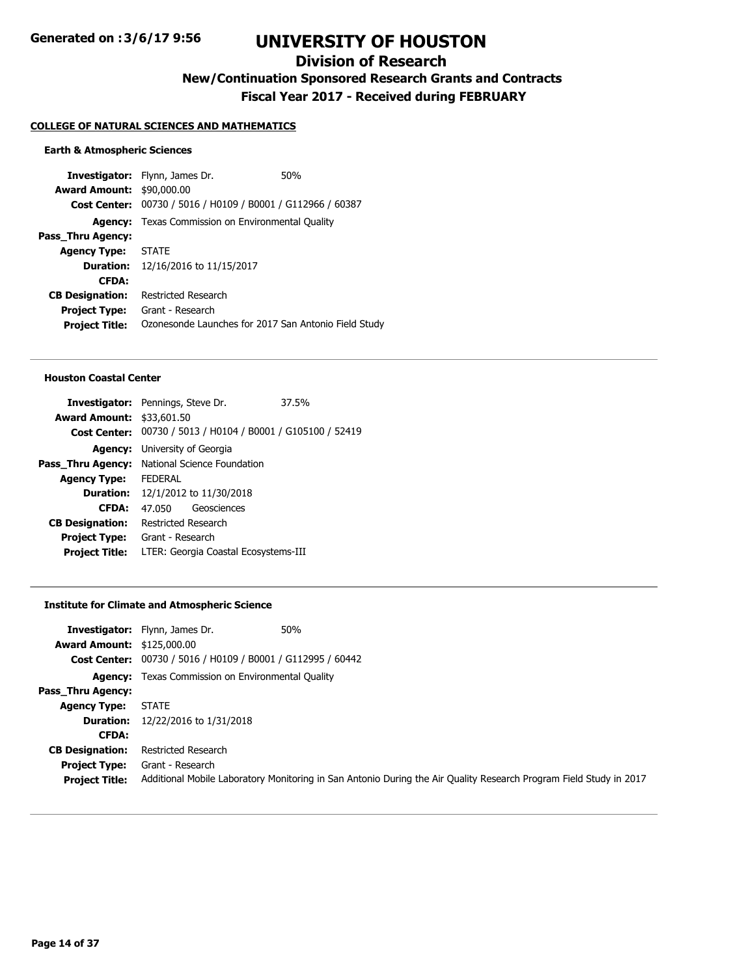# **Division of Research**

**New/Continuation Sponsored Research Grants and Contracts**

**Fiscal Year 2017 - Received during FEBRUARY**

#### **COLLEGE OF NATURAL SCIENCES AND MATHEMATICS**

#### **Earth & Atmospheric Sciences**

**Investigator:** Flynn, James Dr. 60% **Award Amount:** \$90,000.00 **Cost Center:** 00730 / 5016 / H0109 / B0001 / G112966 / 60387 **Agency:** Texas Commission on Environmental Quality **Pass\_Thru Agency: Agency Type:** STATE **Duration:** 12/16/2016 to 11/15/2017 **CFDA: CB Designation:** Restricted Research **Project Type:** Grant - Research **Project Title:** Ozonesonde Launches for 2017 San Antonio Field Study

#### **Houston Coastal Center**

|                                  | <b>Investigator:</b> Pennings, Steve Dr.                    | 37.5% |
|----------------------------------|-------------------------------------------------------------|-------|
| <b>Award Amount: \$33,601.50</b> |                                                             |       |
|                                  | Cost Center: 00730 / 5013 / H0104 / B0001 / G105100 / 52419 |       |
|                                  | <b>Agency:</b> University of Georgia                        |       |
|                                  | Pass_Thru Agency: National Science Foundation               |       |
| <b>Agency Type:</b>              | <b>FFDFRAI</b>                                              |       |
|                                  | <b>Duration:</b> 12/1/2012 to 11/30/2018                    |       |
| <b>CFDA:</b>                     | Geosciences<br>47.050                                       |       |
| <b>CB Designation:</b>           | Restricted Research                                         |       |
| <b>Project Type:</b>             | Grant - Research                                            |       |
| <b>Project Title:</b>            | LTER: Georgia Coastal Ecosystems-III                        |       |
|                                  |                                                             |       |

#### **Institute for Climate and Atmospheric Science**

|                                   | 50%<br><b>Investigator:</b> Flynn, James Dr.                                                                       |
|-----------------------------------|--------------------------------------------------------------------------------------------------------------------|
| <b>Award Amount: \$125,000.00</b> |                                                                                                                    |
|                                   | Cost Center: 00730 / 5016 / H0109 / B0001 / G112995 / 60442                                                        |
|                                   | <b>Agency:</b> Texas Commission on Environmental Quality                                                           |
| Pass Thru Agency:                 |                                                                                                                    |
| <b>Agency Type:</b>               | <b>STATE</b>                                                                                                       |
|                                   | <b>Duration:</b> 12/22/2016 to 1/31/2018                                                                           |
| <b>CFDA:</b>                      |                                                                                                                    |
| <b>CB Designation:</b>            | Restricted Research                                                                                                |
| <b>Project Type:</b>              | Grant - Research                                                                                                   |
| <b>Project Title:</b>             | Additional Mobile Laboratory Monitoring in San Antonio During the Air Quality Research Program Field Study in 2017 |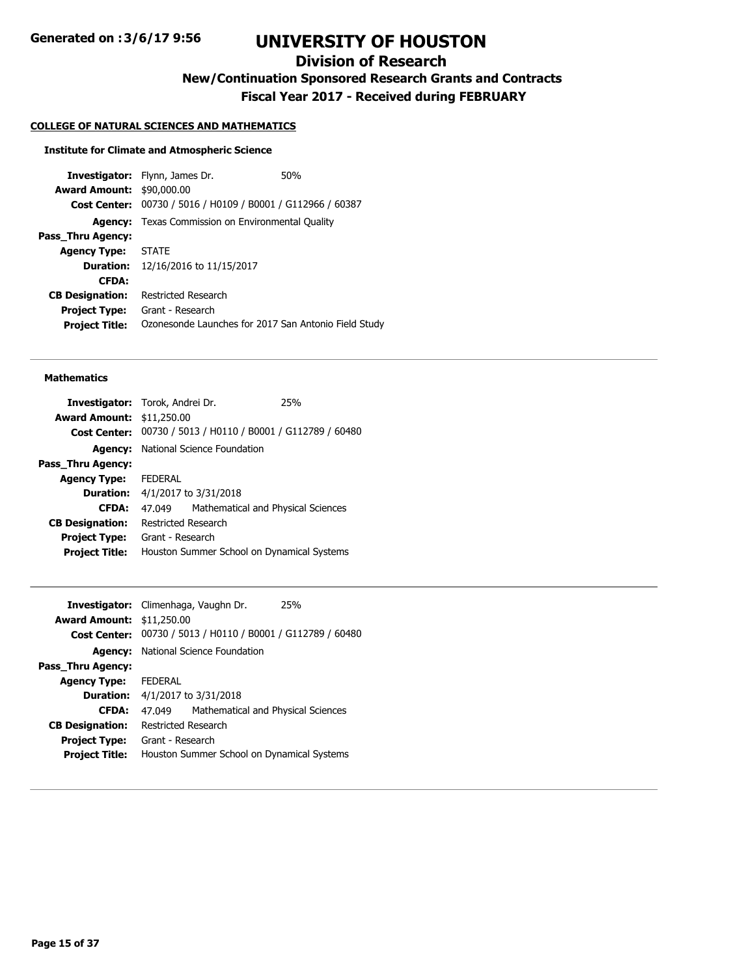# **Division of Research**

**New/Continuation Sponsored Research Grants and Contracts**

**Fiscal Year 2017 - Received during FEBRUARY**

## **COLLEGE OF NATURAL SCIENCES AND MATHEMATICS**

## **Institute for Climate and Atmospheric Science**

**Investigator:** Flynn, James Dr. 60% **Award Amount:** \$90,000.00 **Cost Center:** 00730 / 5016 / H0109 / B0001 / G112966 / 60387 **Agency:** Texas Commission on Environmental Quality **Pass\_Thru Agency: Agency Type:** STATE **Duration:** 12/16/2016 to 11/15/2017 **CFDA: CB Designation:** Restricted Research **Project Type:** Grant - Research **Project Title:** Ozonesonde Launches for 2017 San Antonio Field Study

#### **Mathematics**

|                                            |                                    | 25%                                                                                                                                                                                                                                         |
|--------------------------------------------|------------------------------------|---------------------------------------------------------------------------------------------------------------------------------------------------------------------------------------------------------------------------------------------|
|                                            |                                    |                                                                                                                                                                                                                                             |
| <b>Cost Center:</b>                        |                                    |                                                                                                                                                                                                                                             |
|                                            |                                    |                                                                                                                                                                                                                                             |
|                                            |                                    |                                                                                                                                                                                                                                             |
| <b>FEDERAL</b>                             |                                    |                                                                                                                                                                                                                                             |
|                                            |                                    |                                                                                                                                                                                                                                             |
| 47.049                                     | Mathematical and Physical Sciences |                                                                                                                                                                                                                                             |
|                                            |                                    |                                                                                                                                                                                                                                             |
| Grant - Research                           |                                    |                                                                                                                                                                                                                                             |
| Houston Summer School on Dynamical Systems |                                    |                                                                                                                                                                                                                                             |
|                                            |                                    | <b>Investigator:</b> Torok, Andrei Dr.<br><b>Award Amount: \$11,250.00</b><br>00730 / 5013 / H0110 / B0001 / G112789 / 60480<br><b>Agency:</b> National Science Foundation<br><b>Duration:</b> 4/1/2017 to 3/31/2018<br>Restricted Research |

|                                            | 25%                                                                                                                                                                                                              |
|--------------------------------------------|------------------------------------------------------------------------------------------------------------------------------------------------------------------------------------------------------------------|
|                                            |                                                                                                                                                                                                                  |
|                                            |                                                                                                                                                                                                                  |
|                                            |                                                                                                                                                                                                                  |
|                                            |                                                                                                                                                                                                                  |
| <b>FFDFRAI</b>                             |                                                                                                                                                                                                                  |
|                                            |                                                                                                                                                                                                                  |
| 47 049                                     | Mathematical and Physical Sciences                                                                                                                                                                               |
| Restricted Research                        |                                                                                                                                                                                                                  |
| Grant - Research                           |                                                                                                                                                                                                                  |
| Houston Summer School on Dynamical Systems |                                                                                                                                                                                                                  |
|                                            | Investigator: Climenhaga, Vaughn Dr.<br><b>Award Amount: \$11,250.00</b><br>Cost Center: 00730 / 5013 / H0110 / B0001 / G112789 / 60480<br>National Science Foundation<br><b>Duration:</b> 4/1/2017 to 3/31/2018 |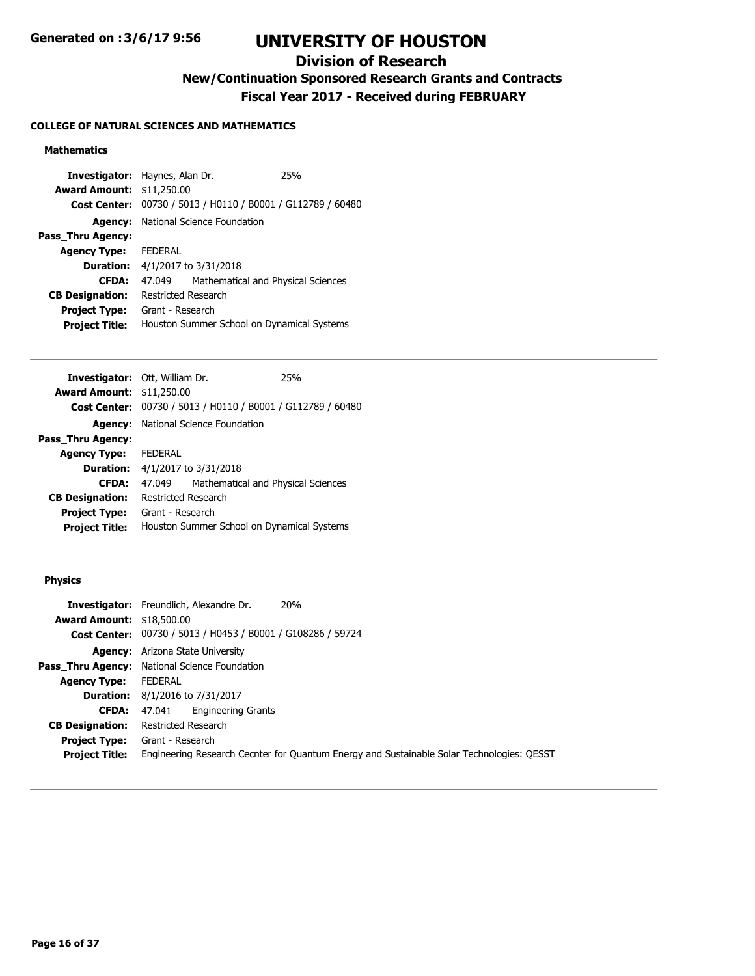# **Division of Research**

**New/Continuation Sponsored Research Grants and Contracts**

**Fiscal Year 2017 - Received during FEBRUARY**

## **COLLEGE OF NATURAL SCIENCES AND MATHEMATICS**

## **Mathematics**

| <b>Award Amount: \$11,250.00</b><br>Cost Center: 00730 / 5013 / H0110 / B0001 / G112789 / 60480<br><b>Agency:</b> National Science Foundation<br>Pass Thru Agency:<br>FEDERAL<br><b>Agency Type:</b><br><b>Duration:</b> 4/1/2017 to 3/31/2018<br>Mathematical and Physical Sciences<br><b>CFDA:</b><br>47.049<br><b>CB Designation:</b><br>Restricted Research<br><b>Project Type:</b><br>Grant - Research<br>Houston Summer School on Dynamical Systems<br><b>Project Title:</b> | <b>Investigator:</b> Haynes, Alan Dr. |  |  | 25% |
|------------------------------------------------------------------------------------------------------------------------------------------------------------------------------------------------------------------------------------------------------------------------------------------------------------------------------------------------------------------------------------------------------------------------------------------------------------------------------------|---------------------------------------|--|--|-----|
|                                                                                                                                                                                                                                                                                                                                                                                                                                                                                    |                                       |  |  |     |
|                                                                                                                                                                                                                                                                                                                                                                                                                                                                                    |                                       |  |  |     |
|                                                                                                                                                                                                                                                                                                                                                                                                                                                                                    |                                       |  |  |     |
|                                                                                                                                                                                                                                                                                                                                                                                                                                                                                    |                                       |  |  |     |
|                                                                                                                                                                                                                                                                                                                                                                                                                                                                                    |                                       |  |  |     |
|                                                                                                                                                                                                                                                                                                                                                                                                                                                                                    |                                       |  |  |     |
|                                                                                                                                                                                                                                                                                                                                                                                                                                                                                    |                                       |  |  |     |
|                                                                                                                                                                                                                                                                                                                                                                                                                                                                                    |                                       |  |  |     |
|                                                                                                                                                                                                                                                                                                                                                                                                                                                                                    |                                       |  |  |     |
|                                                                                                                                                                                                                                                                                                                                                                                                                                                                                    |                                       |  |  |     |

| <b>Investigator:</b> Ott, William Dr. |                                            |                                                             | 25% |
|---------------------------------------|--------------------------------------------|-------------------------------------------------------------|-----|
| <b>Award Amount: \$11,250.00</b>      |                                            |                                                             |     |
|                                       |                                            | Cost Center: 00730 / 5013 / H0110 / B0001 / G112789 / 60480 |     |
|                                       |                                            | <b>Agency:</b> National Science Foundation                  |     |
| Pass Thru Agency:                     |                                            |                                                             |     |
| <b>Agency Type: FEDERAL</b>           |                                            |                                                             |     |
|                                       |                                            | <b>Duration:</b> 4/1/2017 to 3/31/2018                      |     |
| <b>CFDA:</b>                          | 47.049                                     | Mathematical and Physical Sciences                          |     |
| <b>CB Designation:</b>                | Restricted Research                        |                                                             |     |
| <b>Project Type:</b>                  | Grant - Research                           |                                                             |     |
| <b>Project Title:</b>                 | Houston Summer School on Dynamical Systems |                                                             |     |
|                                       |                                            |                                                             |     |

## **Physics**

|                                  | <b>Investigator:</b> Freundlich, Alexandre Dr.              | 20%                                                                                       |
|----------------------------------|-------------------------------------------------------------|-------------------------------------------------------------------------------------------|
| <b>Award Amount: \$18,500.00</b> |                                                             |                                                                                           |
|                                  | Cost Center: 00730 / 5013 / H0453 / B0001 / G108286 / 59724 |                                                                                           |
|                                  | <b>Agency:</b> Arizona State University                     |                                                                                           |
|                                  | <b>Pass_Thru Agency:</b> National Science Foundation        |                                                                                           |
| <b>Agency Type:</b>              | FEDERAL                                                     |                                                                                           |
|                                  | <b>Duration:</b> 8/1/2016 to 7/31/2017                      |                                                                                           |
| <b>CFDA:</b>                     | <b>Engineering Grants</b><br>47.041                         |                                                                                           |
| <b>CB Designation:</b>           | Restricted Research                                         |                                                                                           |
| <b>Project Type:</b>             | Grant - Research                                            |                                                                                           |
| <b>Project Title:</b>            |                                                             | Engineering Research Cecnter for Quantum Energy and Sustainable Solar Technologies: QESST |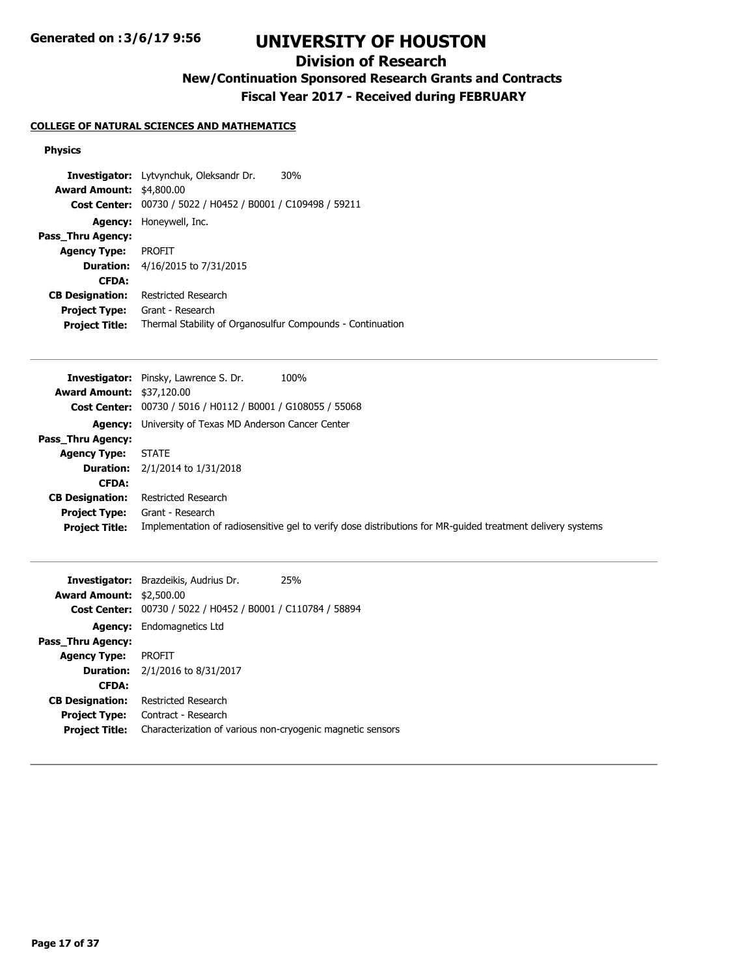# **Division of Research**

**New/Continuation Sponsored Research Grants and Contracts**

**Fiscal Year 2017 - Received during FEBRUARY**

## **COLLEGE OF NATURAL SCIENCES AND MATHEMATICS**

### **Physics**

|                                  | <b>Investigator:</b> Lytvynchuk, Oleksandr Dr.<br>30%                                                                                         |
|----------------------------------|-----------------------------------------------------------------------------------------------------------------------------------------------|
| <b>Award Amount: \$4,800.00</b>  |                                                                                                                                               |
| <b>Cost Center:</b>              | 00730 / 5022 / H0452 / B0001 / C109498 / 59211                                                                                                |
| <b>Agency:</b>                   | Honeywell, Inc.                                                                                                                               |
| Pass_Thru Agency:                |                                                                                                                                               |
| Agency Type:                     | <b>PROFIT</b>                                                                                                                                 |
| <b>Duration:</b>                 | 4/16/2015 to 7/31/2015                                                                                                                        |
| <b>CFDA:</b>                     |                                                                                                                                               |
| <b>CB Designation:</b>           | Restricted Research                                                                                                                           |
| <b>Project Type:</b>             | Grant - Research                                                                                                                              |
| <b>Project Title:</b>            | Thermal Stability of Organosulfur Compounds - Continuation                                                                                    |
|                                  |                                                                                                                                               |
|                                  | <b>Investigator:</b> Pinsky, Lawrence S. Dr.<br>100%                                                                                          |
|                                  |                                                                                                                                               |
| <b>Award Amount: \$37,120.00</b> |                                                                                                                                               |
|                                  | <b>Cost Center:</b> 00730 / 5016 / H0112 / B0001 / G108055 / 55068<br>$\cdots$ $\cdots$ $\cdots$ $\cdots$ $\cdots$ $\cdots$ $\cdots$ $\cdots$ |
|                                  |                                                                                                                                               |

|                        | Cost Center: 00730 / 5016 / H0112 / B0001 / G108055 / 55068                                                |
|------------------------|------------------------------------------------------------------------------------------------------------|
|                        | <b>Agency:</b> University of Texas MD Anderson Cancer Center                                               |
| Pass Thru Agency:      |                                                                                                            |
| <b>Agency Type:</b>    | <b>STATE</b>                                                                                               |
|                        | <b>Duration:</b> $2/1/2014$ to $1/31/2018$                                                                 |
| <b>CFDA:</b>           |                                                                                                            |
| <b>CB Designation:</b> | Restricted Research                                                                                        |
| <b>Project Type:</b>   | Grant - Research                                                                                           |
| <b>Project Title:</b>  | Implementation of radiosensitive gel to verify dose distributions for MR-quided treatment delivery systems |
|                        |                                                                                                            |

| <b>Award Amount: \$2,500.00</b> | <b>Investigator:</b> Brazdeikis, Audrius Dr.<br>25%<br>Cost Center: 00730 / 5022 / H0452 / B0001 / C110784 / 58894 |
|---------------------------------|--------------------------------------------------------------------------------------------------------------------|
|                                 |                                                                                                                    |
| <b>Agency:</b>                  | Endomagnetics Ltd                                                                                                  |
| Pass Thru Agency:               |                                                                                                                    |
| <b>Agency Type:</b>             | PROFIT                                                                                                             |
|                                 | <b>Duration:</b> $2/1/2016$ to $8/31/2017$                                                                         |
| <b>CFDA:</b>                    |                                                                                                                    |
| <b>CB Designation:</b>          | Restricted Research                                                                                                |
| <b>Project Type:</b>            | Contract - Research                                                                                                |
| <b>Project Title:</b>           | Characterization of various non-cryogenic magnetic sensors                                                         |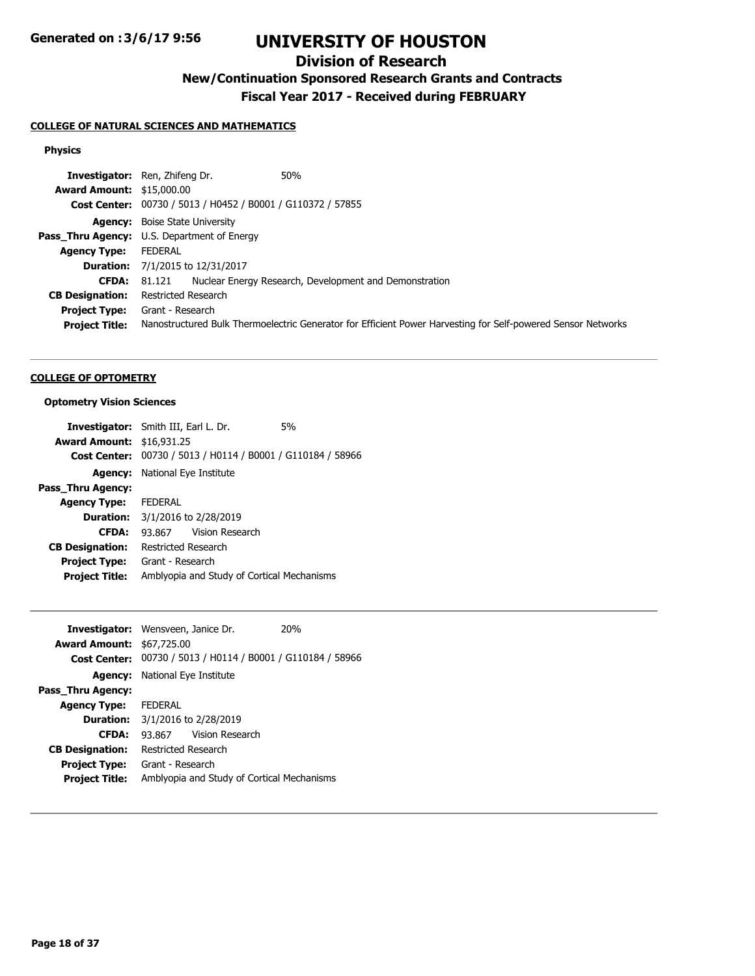# **Division of Research**

**New/Continuation Sponsored Research Grants and Contracts**

**Fiscal Year 2017 - Received during FEBRUARY**

## **COLLEGE OF NATURAL SCIENCES AND MATHEMATICS**

### **Physics**

|                                  | <b>Investigator:</b> Ren, Zhifeng Dr.<br>50%                                                                 |
|----------------------------------|--------------------------------------------------------------------------------------------------------------|
| <b>Award Amount: \$15,000.00</b> |                                                                                                              |
|                                  | Cost Center: 00730 / 5013 / H0452 / B0001 / G110372 / 57855                                                  |
|                                  | <b>Agency:</b> Boise State University                                                                        |
|                                  | Pass_Thru Agency: U.S. Department of Energy                                                                  |
| <b>Agency Type:</b>              | FEDERAL                                                                                                      |
|                                  | <b>Duration:</b> 7/1/2015 to 12/31/2017                                                                      |
| CFDA:                            | Nuclear Energy Research, Development and Demonstration<br>81.121                                             |
| <b>CB Designation:</b>           | Restricted Research                                                                                          |
| <b>Project Type:</b>             | Grant - Research                                                                                             |
| <b>Project Title:</b>            | Nanostructured Bulk Thermoelectric Generator for Efficient Power Harvesting for Self-powered Sensor Networks |

#### **COLLEGE OF OPTOMETRY**

### **Optometry Vision Sciences**

|                                  | <b>Investigator:</b> Smith III, Earl L. Dr.                 | 5% |
|----------------------------------|-------------------------------------------------------------|----|
| <b>Award Amount: \$16,931.25</b> |                                                             |    |
|                                  | Cost Center: 00730 / 5013 / H0114 / B0001 / G110184 / 58966 |    |
|                                  | <b>Agency:</b> National Eye Institute                       |    |
| Pass Thru Agency:                |                                                             |    |
| <b>Agency Type:</b>              | <b>FEDERAL</b>                                              |    |
| <b>Duration:</b>                 | 3/1/2016 to 2/28/2019                                       |    |
| <b>CFDA:</b>                     | Vision Research<br>93.867                                   |    |
| <b>CB Designation:</b>           | <b>Restricted Research</b>                                  |    |
| <b>Project Type:</b>             | Grant - Research                                            |    |
| <b>Project Title:</b>            | Amblyopia and Study of Cortical Mechanisms                  |    |

| <b>Investigator:</b> Wensveen, Janice Dr. |                                       |                                            | 20%                                                         |
|-------------------------------------------|---------------------------------------|--------------------------------------------|-------------------------------------------------------------|
| <b>Award Amount: \$67,725.00</b>          |                                       |                                            |                                                             |
|                                           |                                       |                                            | Cost Center: 00730 / 5013 / H0114 / B0001 / G110184 / 58966 |
|                                           | <b>Agency:</b> National Eye Institute |                                            |                                                             |
| Pass Thru Agency:                         |                                       |                                            |                                                             |
| <b>Agency Type: FEDERAL</b>               |                                       |                                            |                                                             |
| <b>Duration:</b>                          | 3/1/2016 to 2/28/2019                 |                                            |                                                             |
| <b>CFDA:</b>                              |                                       | 93.867 Vision Research                     |                                                             |
| <b>CB Designation:</b>                    | Restricted Research                   |                                            |                                                             |
| <b>Project Type:</b>                      | Grant - Research                      |                                            |                                                             |
| <b>Project Title:</b>                     |                                       | Amblyopia and Study of Cortical Mechanisms |                                                             |
|                                           |                                       |                                            |                                                             |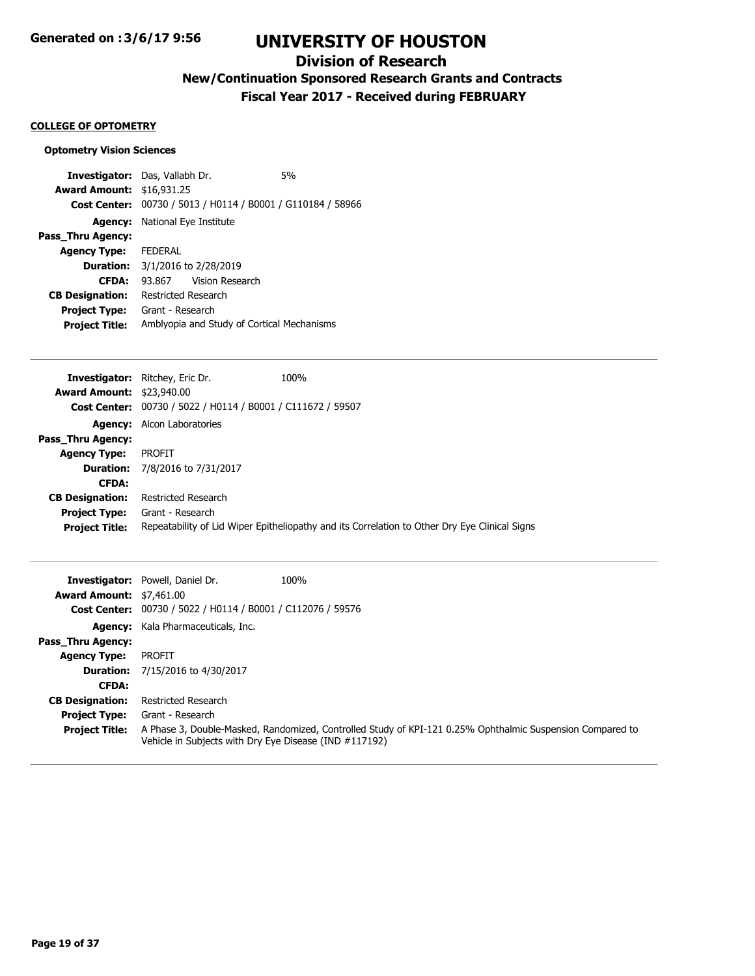# **Division of Research**

**New/Continuation Sponsored Research Grants and Contracts**

**Fiscal Year 2017 - Received during FEBRUARY**

#### **COLLEGE OF OPTOMETRY**

## **Optometry Vision Sciences**

| <b>Investigator:</b> Das, Vallabh Dr. |                                            |                                                | 5 <sub>%</sub> |
|---------------------------------------|--------------------------------------------|------------------------------------------------|----------------|
| <b>Award Amount: \$16,931.25</b>      |                                            |                                                |                |
| <b>Cost Center:</b>                   |                                            | 00730 / 5013 / H0114 / B0001 / G110184 / 58966 |                |
|                                       | <b>Agency:</b> National Eye Institute      |                                                |                |
| Pass_Thru Agency:                     |                                            |                                                |                |
| <b>Agency Type:</b>                   | FEDERAL                                    |                                                |                |
| <b>Duration:</b>                      |                                            | 3/1/2016 to 2/28/2019                          |                |
| <b>CFDA:</b>                          | 93.867                                     | Vision Research                                |                |
| <b>CB Designation:</b>                | Restricted Research                        |                                                |                |
| <b>Project Type:</b>                  | Grant - Research                           |                                                |                |
| <b>Project Title:</b>                 | Amblyopia and Study of Cortical Mechanisms |                                                |                |
|                                       |                                            |                                                |                |

| <b>Award Amount: \$23,940.00</b><br>Cost Center: 00730 / 5022 / H0114 / B0001 / C111672 / 59507<br><b>Agency:</b> Alcon Laboratories<br>Pass Thru Agency:<br>PROFIT<br><b>Agency Type:</b><br><b>Duration:</b> 7/8/2016 to 7/31/2017<br><b>CFDA:</b> |                                                                                                                        |  |
|------------------------------------------------------------------------------------------------------------------------------------------------------------------------------------------------------------------------------------------------------|------------------------------------------------------------------------------------------------------------------------|--|
|                                                                                                                                                                                                                                                      |                                                                                                                        |  |
|                                                                                                                                                                                                                                                      |                                                                                                                        |  |
|                                                                                                                                                                                                                                                      |                                                                                                                        |  |
|                                                                                                                                                                                                                                                      |                                                                                                                        |  |
|                                                                                                                                                                                                                                                      |                                                                                                                        |  |
|                                                                                                                                                                                                                                                      |                                                                                                                        |  |
|                                                                                                                                                                                                                                                      |                                                                                                                        |  |
| <b>CB Designation:</b><br>Restricted Research                                                                                                                                                                                                        |                                                                                                                        |  |
| <b>Project Type:</b><br>Grant - Research                                                                                                                                                                                                             |                                                                                                                        |  |
|                                                                                                                                                                                                                                                      | Repeatability of Lid Wiper Epitheliopathy and its Correlation to Other Dry Eye Clinical Signs<br><b>Project Title:</b> |  |

|                                 | <b>Investigator:</b> Powell, Daniel Dr.                     | 100%                                                                                                      |
|---------------------------------|-------------------------------------------------------------|-----------------------------------------------------------------------------------------------------------|
| <b>Award Amount: \$7,461.00</b> |                                                             |                                                                                                           |
|                                 | Cost Center: 00730 / 5022 / H0114 / B0001 / C112076 / 59576 |                                                                                                           |
|                                 | <b>Agency:</b> Kala Pharmaceuticals, Inc.                   |                                                                                                           |
| <b>Pass Thru Agency:</b>        |                                                             |                                                                                                           |
| <b>Agency Type:</b>             | <b>PROFIT</b>                                               |                                                                                                           |
|                                 | <b>Duration:</b> 7/15/2016 to 4/30/2017                     |                                                                                                           |
| <b>CFDA:</b>                    |                                                             |                                                                                                           |
| <b>CB Designation:</b>          | <b>Restricted Research</b>                                  |                                                                                                           |
| <b>Project Type:</b>            | Grant - Research                                            |                                                                                                           |
| <b>Project Title:</b>           | Vehicle in Subjects with Dry Eye Disease (IND #117192)      | A Phase 3, Double-Masked, Randomized, Controlled Study of KPI-121 0.25% Ophthalmic Suspension Compared to |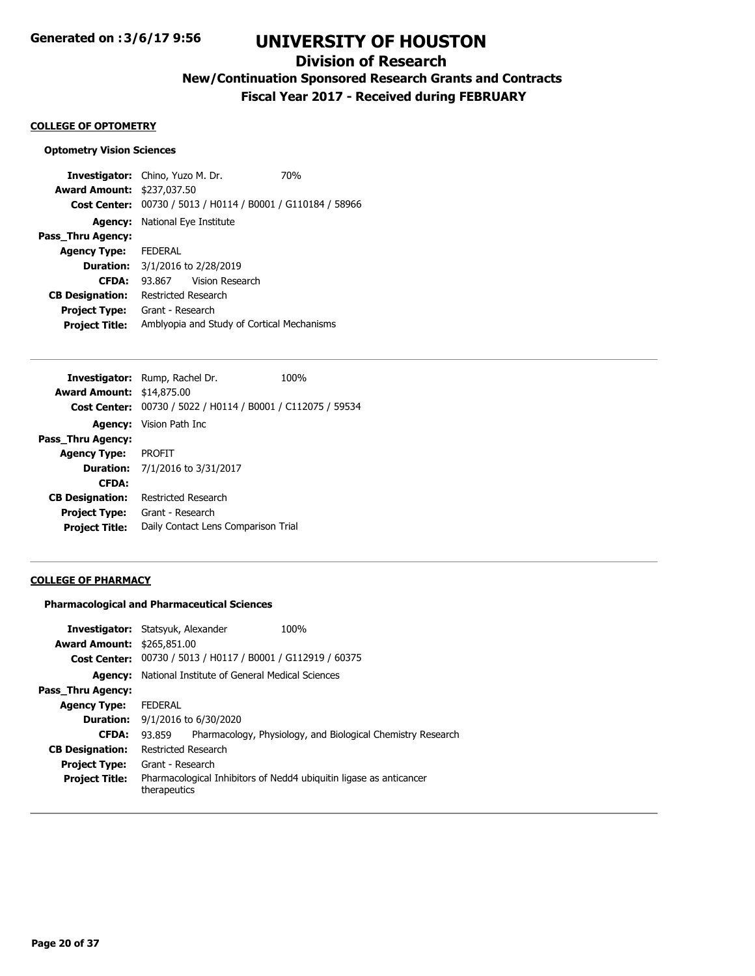## **Division of Research**

**New/Continuation Sponsored Research Grants and Contracts**

**Fiscal Year 2017 - Received during FEBRUARY**

#### **COLLEGE OF OPTOMETRY**

#### **Optometry Vision Sciences**

**Investigator:** Chino, Yuzo M. Dr. 70% **Award Amount:** \$237,037.50 **Cost Center:** 00730 / 5013 / H0114 / B0001 / G110184 / 58966 **Agency:** National Eye Institute **Pass\_Thru Agency: Agency Type:** FEDERAL **Duration:** 3/1/2016 to 2/28/2019 **CFDA:** 93.867 Vision Research **CB Designation:** Restricted Research **Project Type:** Grant - Research **Project Title:** Amblyopia and Study of Cortical Mechanisms

|                                  | Investigator: Rump, Rachel Dr.                              | 100% |
|----------------------------------|-------------------------------------------------------------|------|
| <b>Award Amount: \$14,875.00</b> |                                                             |      |
|                                  | Cost Center: 00730 / 5022 / H0114 / B0001 / C112075 / 59534 |      |
|                                  | <b>Agency:</b> Vision Path Inc.                             |      |
| Pass_Thru Agency:                |                                                             |      |
| <b>Agency Type: PROFIT</b>       |                                                             |      |
|                                  | <b>Duration:</b> 7/1/2016 to 3/31/2017                      |      |
| <b>CFDA:</b>                     |                                                             |      |
| <b>CB Designation:</b>           | Restricted Research                                         |      |
| Project Type:                    | Grant - Research                                            |      |
| <b>Project Title:</b>            | Daily Contact Lens Comparison Trial                         |      |
|                                  |                                                             |      |

#### **COLLEGE OF PHARMACY**

#### **Pharmacological and Pharmaceutical Sciences**

|                                   | <b>Investigator:</b> Statsyuk, Alexander                    | 100%                                                               |  |
|-----------------------------------|-------------------------------------------------------------|--------------------------------------------------------------------|--|
| <b>Award Amount: \$265,851.00</b> |                                                             |                                                                    |  |
|                                   | Cost Center: 00730 / 5013 / H0117 / B0001 / G112919 / 60375 |                                                                    |  |
| Agency:                           | National Institute of General Medical Sciences              |                                                                    |  |
| Pass Thru Agency:                 |                                                             |                                                                    |  |
| <b>Agency Type:</b>               | <b>FFDFRAI</b>                                              |                                                                    |  |
| <b>Duration:</b>                  | 9/1/2016 to 6/30/2020                                       |                                                                    |  |
| <b>CFDA:</b>                      | 93.859                                                      | Pharmacology, Physiology, and Biological Chemistry Research        |  |
| <b>CB Designation:</b>            | <b>Restricted Research</b>                                  |                                                                    |  |
| <b>Project Type:</b>              | Grant - Research                                            |                                                                    |  |
| <b>Project Title:</b>             | therapeutics                                                | Pharmacological Inhibitors of Nedd4 ubiguitin ligase as anticancer |  |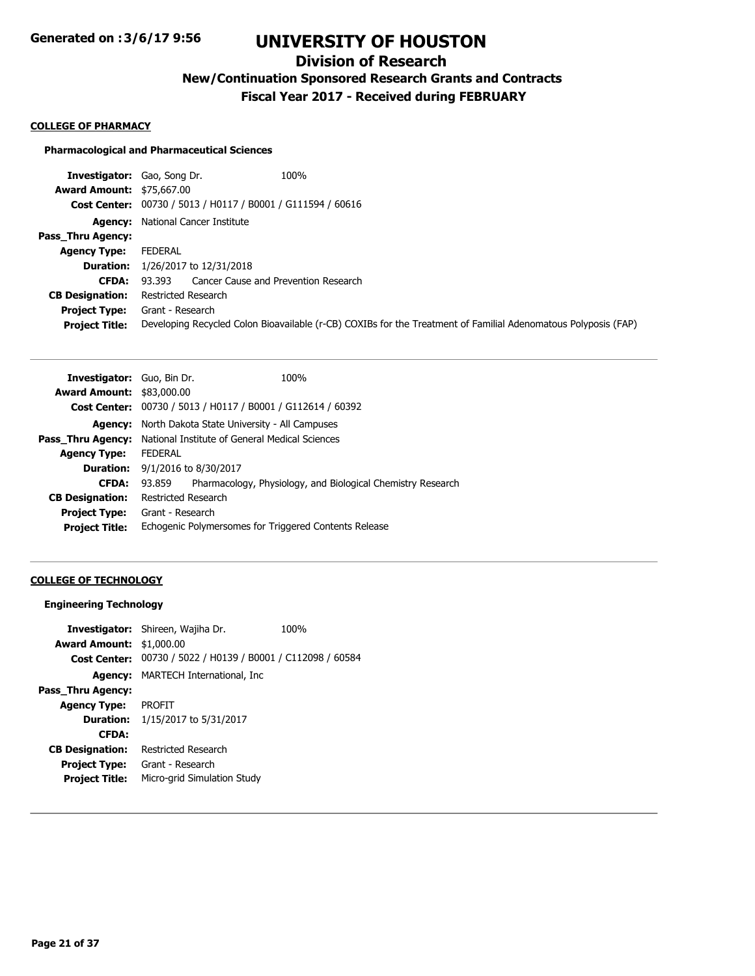# **Division of Research**

**New/Continuation Sponsored Research Grants and Contracts**

**Fiscal Year 2017 - Received during FEBRUARY**

#### **COLLEGE OF PHARMACY**

#### **Pharmacological and Pharmaceutical Sciences**

| <b>Investigator:</b> Gao, Song Dr.                          | 100%                                                                                                           |
|-------------------------------------------------------------|----------------------------------------------------------------------------------------------------------------|
| <b>Award Amount: \$75,667.00</b>                            |                                                                                                                |
| Cost Center: 00730 / 5013 / H0117 / B0001 / G111594 / 60616 |                                                                                                                |
| <b>Agency:</b> National Cancer Institute                    |                                                                                                                |
|                                                             |                                                                                                                |
| FEDERAL                                                     |                                                                                                                |
| 1/26/2017 to 12/31/2018                                     |                                                                                                                |
| Cancer Cause and Prevention Research<br>93.393              |                                                                                                                |
| Restricted Research                                         |                                                                                                                |
| Grant - Research                                            |                                                                                                                |
|                                                             | Developing Recycled Colon Bioavailable (r-CB) COXIBs for the Treatment of Familial Adenomatous Polyposis (FAP) |
|                                                             |                                                                                                                |

| <b>Investigator:</b> Guo, Bin Dr. |                       | 100%                                                               |
|-----------------------------------|-----------------------|--------------------------------------------------------------------|
| <b>Award Amount: \$83,000.00</b>  |                       |                                                                    |
|                                   |                       | <b>Cost Center:</b> 00730 / 5013 / H0117 / B0001 / G112614 / 60392 |
| Agency:                           |                       | North Dakota State University - All Campuses                       |
| <b>Pass Thru Agency:</b>          |                       | National Institute of General Medical Sciences                     |
| <b>Agency Type:</b>               | <b>FEDERAL</b>        |                                                                    |
| <b>Duration:</b>                  | 9/1/2016 to 8/30/2017 |                                                                    |
| <b>CFDA:</b>                      | 93.859                | Pharmacology, Physiology, and Biological Chemistry Research        |
| <b>CB Designation:</b>            | Restricted Research   |                                                                    |
| <b>Project Type:</b>              | Grant - Research      |                                                                    |
| <b>Project Title:</b>             |                       | Echogenic Polymersomes for Triggered Contents Release              |
|                                   |                       |                                                                    |

## **COLLEGE OF TECHNOLOGY**

## **Engineering Technology**

|                                 | <b>Investigator:</b> Shireen, Wajiha Dr.                    | 100% |
|---------------------------------|-------------------------------------------------------------|------|
| <b>Award Amount: \$1,000.00</b> |                                                             |      |
|                                 | Cost Center: 00730 / 5022 / H0139 / B0001 / C112098 / 60584 |      |
|                                 | <b>Agency:</b> MARTECH International, Inc.                  |      |
| Pass Thru Agency:               |                                                             |      |
| <b>Agency Type:</b>             | <b>PROFIT</b>                                               |      |
|                                 | <b>Duration:</b> 1/15/2017 to 5/31/2017                     |      |
| <b>CFDA:</b>                    |                                                             |      |
| <b>CB Designation:</b>          | Restricted Research                                         |      |
| <b>Project Type:</b>            | Grant - Research                                            |      |
| <b>Project Title:</b>           | Micro-grid Simulation Study                                 |      |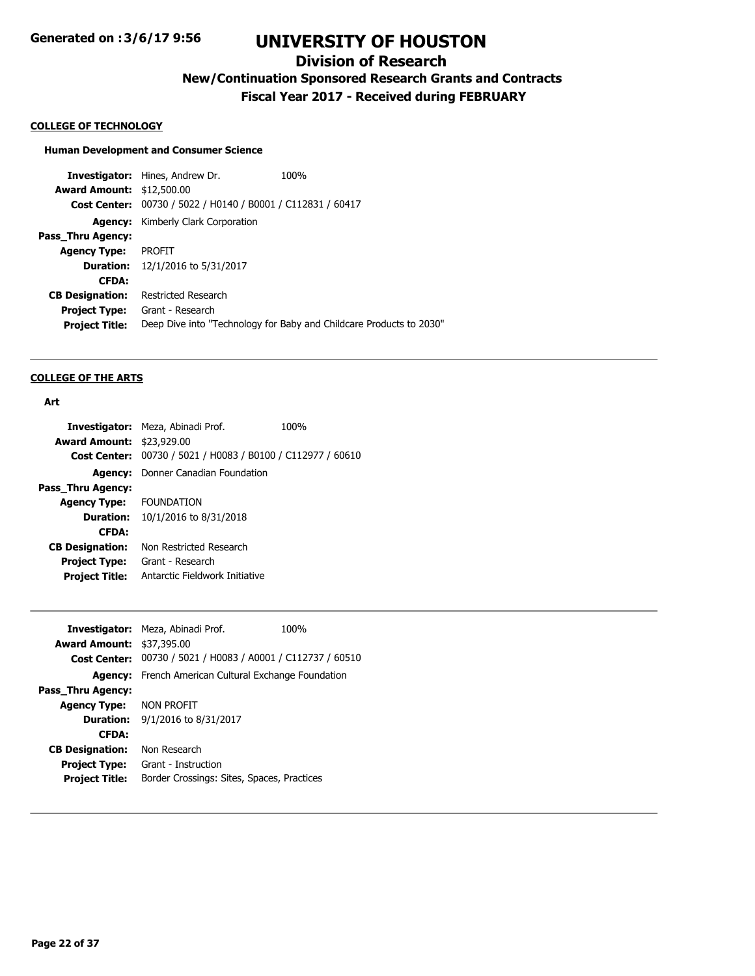# **Division of Research**

**New/Continuation Sponsored Research Grants and Contracts**

**Fiscal Year 2017 - Received during FEBRUARY**

#### **COLLEGE OF TECHNOLOGY**

# **Human Development and Consumer Science**

**Investigator:** Hines, Andrew Dr. 100% **Award Amount:** \$12,500.00 **Cost Center:** 00730 / 5022 / H0140 / B0001 / C112831 / 60417 **Agency:** Kimberly Clark Corporation **Pass\_Thru Agency: Agency Type:** PROFIT **Duration:** 12/1/2016 to 5/31/2017 **CFDA: CB Designation:** Restricted Research **Project Type:** Grant - Research **Project Title:** Deep Dive into "Technology for Baby and Childcare Products to 2030"

#### **COLLEGE OF THE ARTS**

#### **Art**

|                                  | <b>Investigator:</b> Meza, Abinadi Prof.       | 100% |
|----------------------------------|------------------------------------------------|------|
| <b>Award Amount: \$23,929.00</b> |                                                |      |
| <b>Cost Center:</b>              | 00730 / 5021 / H0083 / B0100 / C112977 / 60610 |      |
| Agency:                          | Donner Canadian Foundation                     |      |
| Pass Thru Agency:                |                                                |      |
| <b>Agency Type:</b>              | <b>FOUNDATION</b>                              |      |
| <b>Duration:</b>                 | 10/1/2016 to 8/31/2018                         |      |
| <b>CFDA:</b>                     |                                                |      |
| <b>CB Designation:</b>           | Non Restricted Research                        |      |
| <b>Project Type:</b>             | Grant - Research                               |      |
| <b>Project Title:</b>            | Antarctic Fieldwork Initiative                 |      |

|                                  | Investigator: Meza, Abinadi Prof.                           | 100% |
|----------------------------------|-------------------------------------------------------------|------|
| <b>Award Amount: \$37,395.00</b> |                                                             |      |
|                                  | Cost Center: 00730 / 5021 / H0083 / A0001 / C112737 / 60510 |      |
|                                  | <b>Agency:</b> French American Cultural Exchange Foundation |      |
| Pass Thru Agency:                |                                                             |      |
| <b>Agency Type: NON PROFIT</b>   |                                                             |      |
| <b>Duration:</b>                 | 9/1/2016 to 8/31/2017                                       |      |
| <b>CFDA:</b>                     |                                                             |      |
| <b>CB Designation:</b>           | Non Research                                                |      |
| <b>Project Type:</b>             | Grant - Instruction                                         |      |
| <b>Project Title:</b>            | Border Crossings: Sites, Spaces, Practices                  |      |
|                                  |                                                             |      |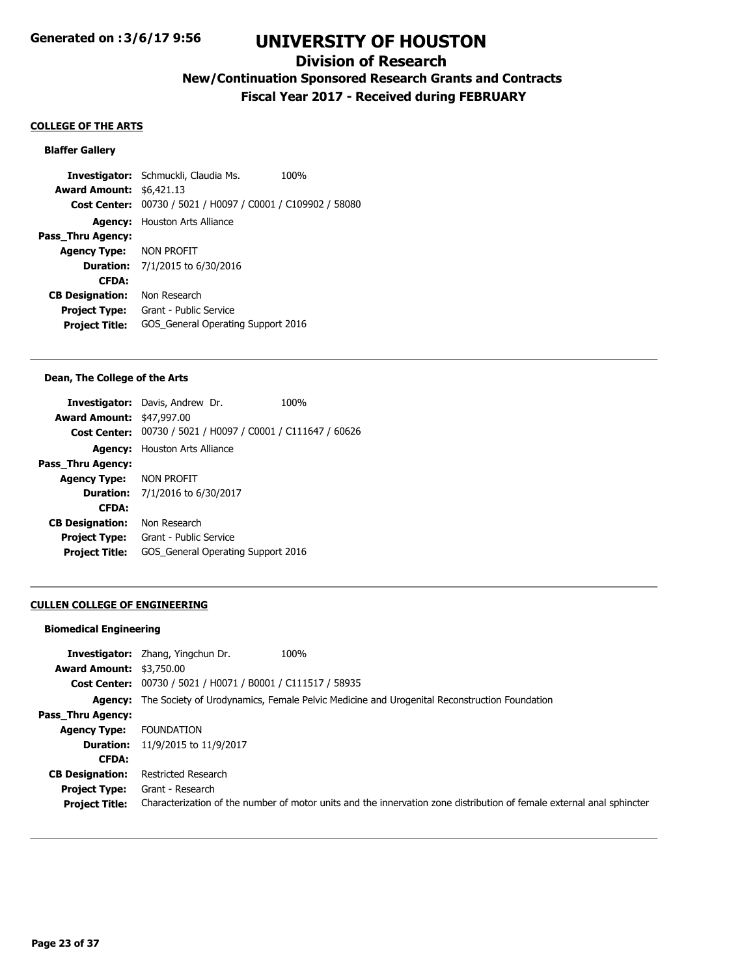## **Division of Research**

# **New/Continuation Sponsored Research Grants and Contracts**

**Fiscal Year 2017 - Received during FEBRUARY**

#### **COLLEGE OF THE ARTS**

### **Blaffer Gallery**

**Investigator:** Schmuckli, Claudia Ms. 100% **Award Amount:** \$6,421.13 **Cost Center:** 00730 / 5021 / H0097 / C0001 / C109902 / 58080 **Agency:** Houston Arts Alliance **Pass\_Thru Agency: Agency Type:** NON PROFIT **Duration:** 7/1/2015 to 6/30/2016 **CFDA: CB Designation:** Non Research **Project Type:** Grant - Public Service **Project Title:** GOS\_General Operating Support 2016

#### **Dean, The College of the Arts**

|                                  | <b>Investigator:</b> Davis, Andrew Dr.                      | 100% |
|----------------------------------|-------------------------------------------------------------|------|
| <b>Award Amount: \$47,997.00</b> |                                                             |      |
|                                  | Cost Center: 00730 / 5021 / H0097 / C0001 / C111647 / 60626 |      |
|                                  | <b>Agency:</b> Houston Arts Alliance                        |      |
| Pass_Thru Agency:                |                                                             |      |
| <b>Agency Type: NON PROFIT</b>   |                                                             |      |
|                                  | <b>Duration:</b> 7/1/2016 to 6/30/2017                      |      |
| <b>CFDA:</b>                     |                                                             |      |
| <b>CB Designation:</b>           | Non Research                                                |      |
| <b>Project Type:</b>             | Grant - Public Service                                      |      |
| <b>Project Title:</b>            | GOS General Operating Support 2016                          |      |
|                                  |                                                             |      |

#### **CULLEN COLLEGE OF ENGINEERING**

#### **Biomedical Engineering**

| <b>Award Amount: \$3,750.00</b> | 100%<br><b>Investigator:</b> Zhang, Yingchun Dr.                                                                      |
|---------------------------------|-----------------------------------------------------------------------------------------------------------------------|
|                                 | <b>Cost Center:</b> 00730 / 5021 / H0071 / B0001 / C111517 / 58935                                                    |
|                                 | <b>Agency:</b> The Society of Urodynamics, Female Pelvic Medicine and Urogenital Reconstruction Foundation            |
| Pass_Thru Agency:               |                                                                                                                       |
| <b>Agency Type:</b>             | <b>FOUNDATION</b>                                                                                                     |
|                                 | <b>Duration:</b> 11/9/2015 to 11/9/2017                                                                               |
| <b>CFDA:</b>                    |                                                                                                                       |
| <b>CB Designation:</b>          | Restricted Research                                                                                                   |
| <b>Project Type:</b>            | Grant - Research                                                                                                      |
| <b>Project Title:</b>           | Characterization of the number of motor units and the innervation zone distribution of female external anal sphincter |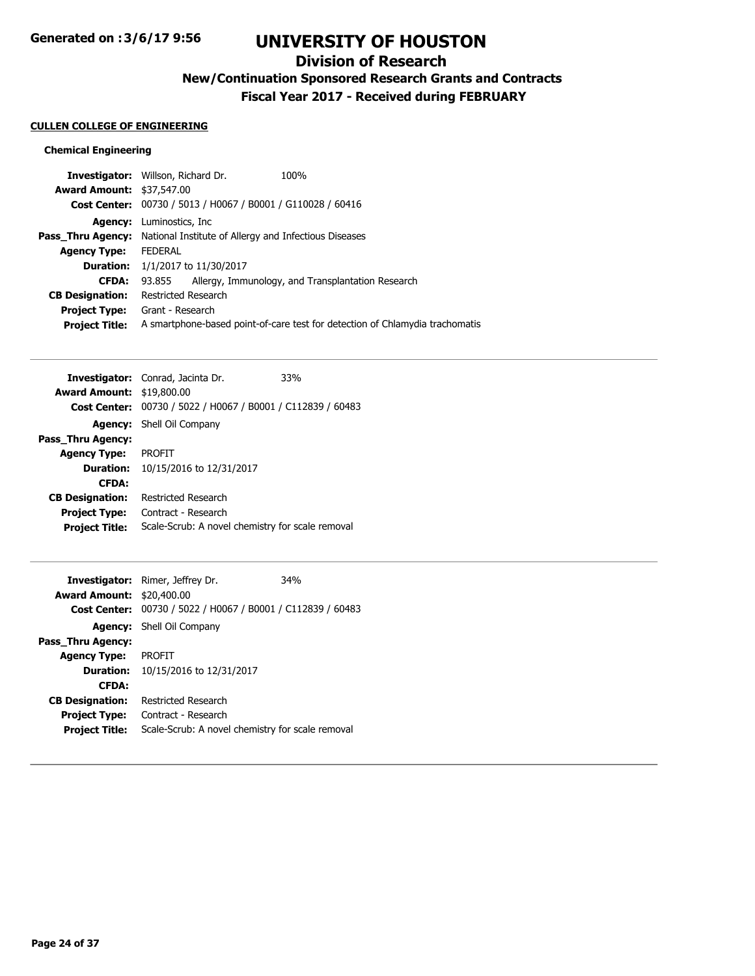# **Division of Research**

**New/Continuation Sponsored Research Grants and Contracts**

**Fiscal Year 2017 - Received during FEBRUARY**

## **CULLEN COLLEGE OF ENGINEERING**

## **Chemical Engineering**

|                                  | <b>Investigator:</b> Willson, Richard Dr. |                                                                                | 100%                                                                         |  |
|----------------------------------|-------------------------------------------|--------------------------------------------------------------------------------|------------------------------------------------------------------------------|--|
| <b>Award Amount: \$37,547.00</b> |                                           |                                                                                |                                                                              |  |
|                                  |                                           |                                                                                | Cost Center: 00730 / 5013 / H0067 / B0001 / G110028 / 60416                  |  |
| <b>Agency:</b>                   | Luminostics, Inc                          |                                                                                |                                                                              |  |
|                                  |                                           | <b>Pass Thru Agency:</b> National Institute of Allergy and Infectious Diseases |                                                                              |  |
| <b>Agency Type:</b>              | <b>FEDERAL</b>                            |                                                                                |                                                                              |  |
|                                  | <b>Duration:</b> 1/1/2017 to 11/30/2017   |                                                                                |                                                                              |  |
| <b>CFDA:</b>                     | 93.855                                    |                                                                                | Allergy, Immunology, and Transplantation Research                            |  |
| <b>CB Designation:</b>           | Restricted Research                       |                                                                                |                                                                              |  |
| <b>Project Type:</b>             | Grant - Research                          |                                                                                |                                                                              |  |
| <b>Project Title:</b>            |                                           |                                                                                | A smartphone-based point-of-care test for detection of Chlamydia trachomatis |  |
|                                  |                                           |                                                                                |                                                                              |  |

|                                  | <b>Investigator:</b> Conrad, Jacinta Dr.                           | 33% |
|----------------------------------|--------------------------------------------------------------------|-----|
| <b>Award Amount: \$19,800.00</b> |                                                                    |     |
|                                  | <b>Cost Center:</b> 00730 / 5022 / H0067 / B0001 / C112839 / 60483 |     |
|                                  | <b>Agency:</b> Shell Oil Company                                   |     |
| Pass Thru Agency:                |                                                                    |     |
| <b>Agency Type:</b>              | <b>PROFIT</b>                                                      |     |
| <b>Duration:</b>                 | 10/15/2016 to 12/31/2017                                           |     |
| <b>CFDA:</b>                     |                                                                    |     |
| <b>CB Designation:</b>           | <b>Restricted Research</b>                                         |     |
| <b>Project Type:</b>             | Contract - Research                                                |     |
| <b>Project Title:</b>            | Scale-Scrub: A novel chemistry for scale removal                   |     |

|                                  | <b>Investigator:</b> Rimer, Jeffrey Dr.                     | 34% |
|----------------------------------|-------------------------------------------------------------|-----|
| <b>Award Amount: \$20,400.00</b> |                                                             |     |
|                                  | Cost Center: 00730 / 5022 / H0067 / B0001 / C112839 / 60483 |     |
|                                  | <b>Agency:</b> Shell Oil Company                            |     |
| Pass Thru Agency:                |                                                             |     |
| <b>Agency Type:</b>              | <b>PROFIT</b>                                               |     |
| Duration:                        | 10/15/2016 to 12/31/2017                                    |     |
| <b>CFDA:</b>                     |                                                             |     |
| <b>CB Designation:</b>           | <b>Restricted Research</b>                                  |     |
| <b>Project Type:</b>             | Contract - Research                                         |     |
| <b>Project Title:</b>            | Scale-Scrub: A novel chemistry for scale removal            |     |
|                                  |                                                             |     |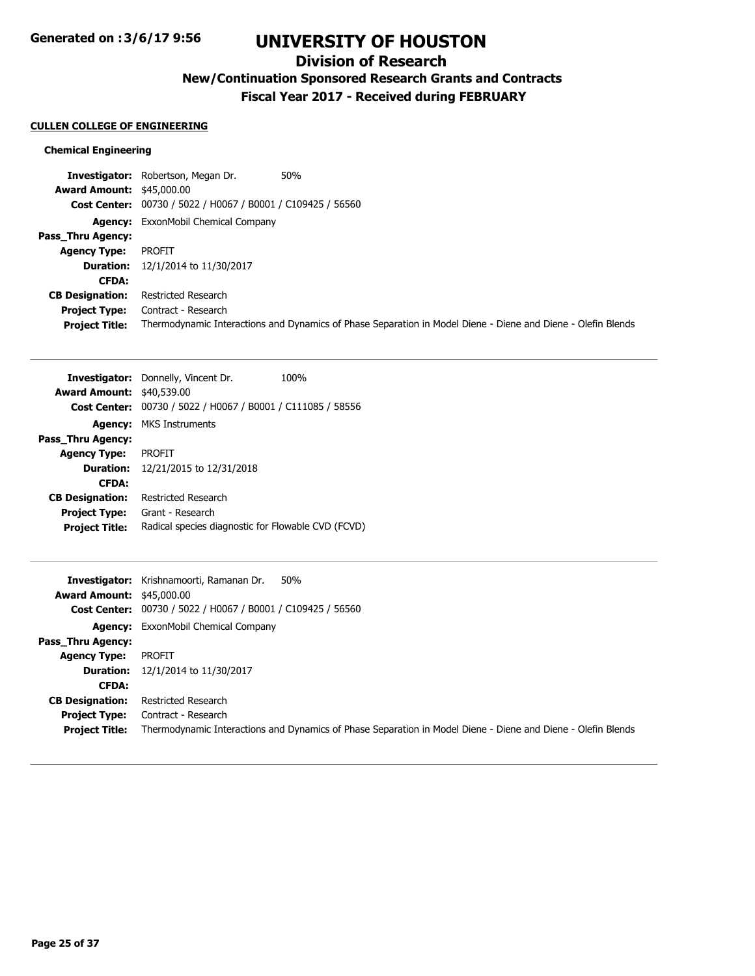## **Division of Research**

**New/Continuation Sponsored Research Grants and Contracts**

**Fiscal Year 2017 - Received during FEBRUARY**

#### **CULLEN COLLEGE OF ENGINEERING**

#### **Chemical Engineering**

**Investigator:** Robertson, Megan Dr. 50% **Award Amount:** \$45,000.00 **Cost Center:** 00730 / 5022 / H0067 / B0001 / C109425 / 56560 **Agency:** ExxonMobil Chemical Company **Pass\_Thru Agency: Agency Type:** PROFIT **Duration:** 12/1/2014 to 11/30/2017 **CFDA: CB Designation:** Restricted Research **Project Type:** Contract - Research **Project Title:** Thermodynamic Interactions and Dynamics of Phase Separation in Model Diene - Diene and Diene - Olefin Blends

| <b>Award Amount: \$40,539.00</b><br>Pass_Thru Agency: | <b>Investigator:</b> Donnelly, Vincent Dr.<br>100%<br>Cost Center: 00730 / 5022 / H0067 / B0001 / C111085 / 58556<br><b>Agency: MKS Instruments</b> |
|-------------------------------------------------------|-----------------------------------------------------------------------------------------------------------------------------------------------------|
| <b>Agency Type:</b>                                   | PROFIT                                                                                                                                              |
| <b>Duration:</b><br><b>CFDA:</b>                      | 12/21/2015 to 12/31/2018                                                                                                                            |
| <b>CB Designation:</b>                                | <b>Restricted Research</b>                                                                                                                          |
| <b>Project Type:</b>                                  | Grant - Research                                                                                                                                    |
| <b>Project Title:</b>                                 | Radical species diagnostic for Flowable CVD (FCVD)                                                                                                  |
|                                                       |                                                                                                                                                     |
|                                                       |                                                                                                                                                     |
|                                                       | Investigator: Krishnamoorti, Ramanan Dr.<br>50%                                                                                                     |
| <b>Award Amount: \$45,000.00</b>                      |                                                                                                                                                     |
| <b>Cost Center:</b>                                   | 00730 / 5022 / H0067 / B0001 / C109425 / 56560                                                                                                      |
| Agency:                                               | ExxonMobil Chemical Company                                                                                                                         |
| Pass Thru Agency:                                     |                                                                                                                                                     |
| <b>Agency Type:</b>                                   | PROFIT                                                                                                                                              |
| <b>Duration:</b>                                      | 12/1/2014 to 11/30/2017                                                                                                                             |
| <b>CFDA:</b>                                          |                                                                                                                                                     |
| <b>CB Designation:</b>                                | <b>Restricted Research</b>                                                                                                                          |
| <b>Project Type:</b><br><b>Project Title:</b>         | Contract - Research<br>Thermodynamic Interactions and Dynamics of Phase Separation in Model Diene - Diene and Diene - Olefin Blends                 |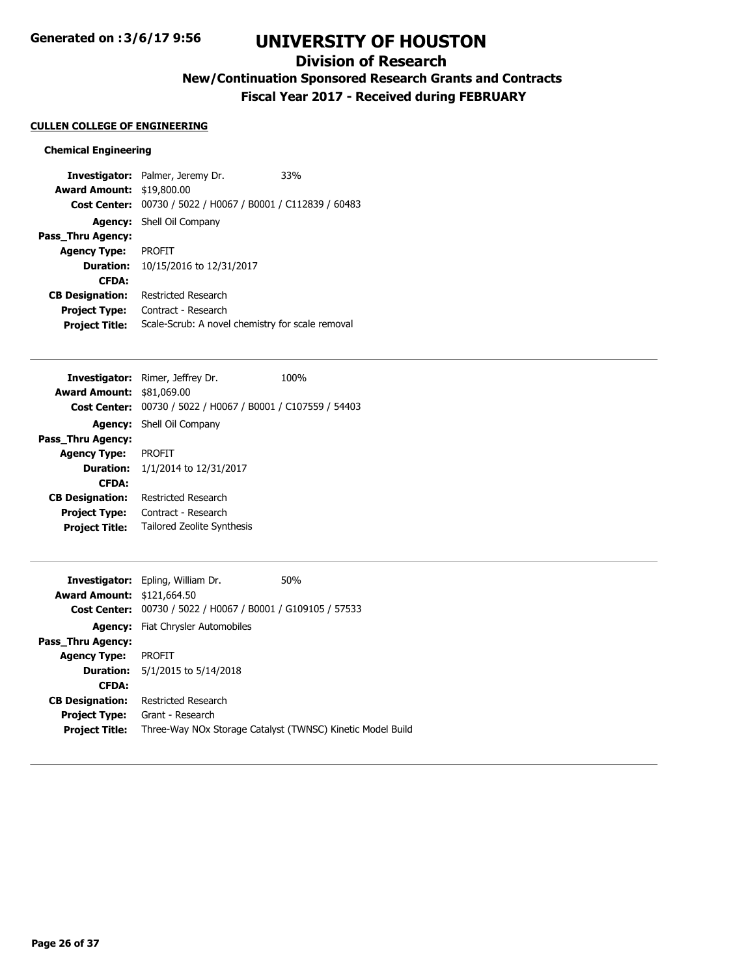## **Division of Research**

**New/Continuation Sponsored Research Grants and Contracts**

**Fiscal Year 2017 - Received during FEBRUARY**

#### **CULLEN COLLEGE OF ENGINEERING**

### **Chemical Engineering**

**Investigator:** Palmer, Jeremy Dr. 33% **Award Amount:** \$19,800.00 **Cost Center:** 00730 / 5022 / H0067 / B0001 / C112839 / 60483 **Agency:** Shell Oil Company **Pass\_Thru Agency: Agency Type:** PROFIT **Duration:** 10/15/2016 to 12/31/2017 **CFDA: CB Designation:** Restricted Research **Project Type:** Contract - Research **Project Title:** Scale-Scrub: A novel chemistry for scale removal

|                                  | <b>Investigator:</b> Rimer, Jeffrey Dr.                     | 100% |
|----------------------------------|-------------------------------------------------------------|------|
| <b>Award Amount: \$81,069.00</b> |                                                             |      |
|                                  | Cost Center: 00730 / 5022 / H0067 / B0001 / C107559 / 54403 |      |
|                                  | <b>Agency:</b> Shell Oil Company                            |      |
| Pass Thru Agency:                |                                                             |      |
| <b>Agency Type:</b>              | <b>PROFIT</b>                                               |      |
|                                  | <b>Duration:</b> $1/1/2014$ to $12/31/2017$                 |      |
| <b>CFDA:</b>                     |                                                             |      |
| <b>CB Designation:</b>           | <b>Restricted Research</b>                                  |      |
| <b>Project Type:</b>             | Contract - Research                                         |      |
| <b>Project Title:</b>            | <b>Tailored Zeolite Synthesis</b>                           |      |

|                                   | <b>Investigator:</b> Epling, William Dr.                   | 50% |
|-----------------------------------|------------------------------------------------------------|-----|
| <b>Award Amount: \$121,664.50</b> |                                                            |     |
| <b>Cost Center:</b>               | 00730 / 5022 / H0067 / B0001 / G109105 / 57533             |     |
| Agency:                           | Fiat Chrysler Automobiles                                  |     |
| Pass Thru Agency:                 |                                                            |     |
| <b>Agency Type:</b>               | <b>PROFIT</b>                                              |     |
|                                   | <b>Duration:</b> 5/1/2015 to 5/14/2018                     |     |
| <b>CFDA:</b>                      |                                                            |     |
| <b>CB Designation:</b>            | Restricted Research                                        |     |
| <b>Project Type:</b>              | Grant - Research                                           |     |
| <b>Project Title:</b>             | Three-Way NOx Storage Catalyst (TWNSC) Kinetic Model Build |     |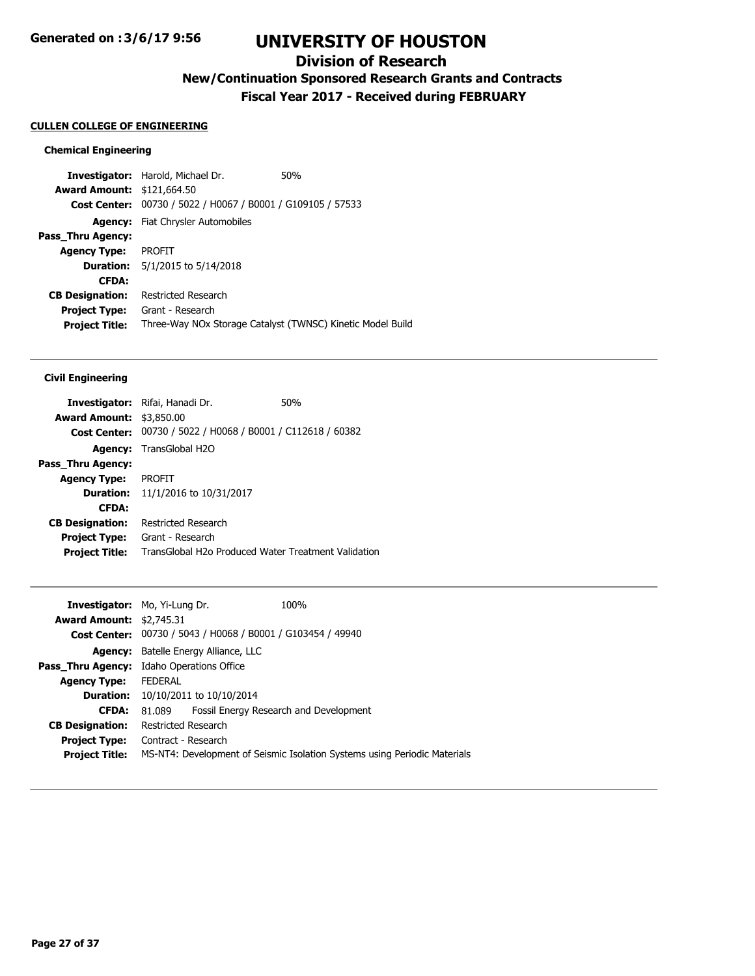## **Division of Research**

**New/Continuation Sponsored Research Grants and Contracts**

**Fiscal Year 2017 - Received during FEBRUARY**

#### **CULLEN COLLEGE OF ENGINEERING**

### **Chemical Engineering**

**Investigator:** Harold, Michael Dr. 50% **Award Amount:** \$121,664.50 **Cost Center:** 00730 / 5022 / H0067 / B0001 / G109105 / 57533 **Agency:** Fiat Chrysler Automobiles **Pass\_Thru Agency: Agency Type:** PROFIT **Duration:** 5/1/2015 to 5/14/2018 **CFDA: CB Designation:** Restricted Research **Project Type:** Grant - Research **Project Title:** Three-Way NOx Storage Catalyst (TWNSC) Kinetic Model Build

### **Civil Engineering**

|                                 | <b>Investigator:</b> Rifai, Hanadi Dr.              | 50% |
|---------------------------------|-----------------------------------------------------|-----|
| <b>Award Amount: \$3,850.00</b> |                                                     |     |
| <b>Cost Center:</b>             | 00730 / 5022 / H0068 / B0001 / C112618 / 60382      |     |
|                                 | <b>Agency:</b> TransGlobal H2O                      |     |
| Pass Thru Agency:               |                                                     |     |
| <b>Agency Type:</b>             | <b>PROFIT</b>                                       |     |
| <b>Duration:</b>                | 11/1/2016 to 10/31/2017                             |     |
| <b>CFDA:</b>                    |                                                     |     |
| <b>CB Designation:</b>          | Restricted Research                                 |     |
| <b>Project Type:</b>            | Grant - Research                                    |     |
| <b>Project Title:</b>           | TransGlobal H2o Produced Water Treatment Validation |     |

|                |                                 | 100%                                                                                                                                                                                                                                     |
|----------------|---------------------------------|------------------------------------------------------------------------------------------------------------------------------------------------------------------------------------------------------------------------------------------|
|                |                                 |                                                                                                                                                                                                                                          |
|                |                                 |                                                                                                                                                                                                                                          |
|                |                                 |                                                                                                                                                                                                                                          |
|                |                                 |                                                                                                                                                                                                                                          |
|                |                                 |                                                                                                                                                                                                                                          |
| <b>FEDERAL</b> |                                 |                                                                                                                                                                                                                                          |
|                |                                 |                                                                                                                                                                                                                                          |
| 81.089         |                                 | Fossil Energy Research and Development                                                                                                                                                                                                   |
|                |                                 |                                                                                                                                                                                                                                          |
|                |                                 |                                                                                                                                                                                                                                          |
|                |                                 | MS-NT4: Development of Seismic Isolation Systems using Periodic Materials                                                                                                                                                                |
|                | <b>Award Amount: \$2,745.31</b> | <b>Investigator:</b> Mo, Yi-Lung Dr.<br>Cost Center: 00730 / 5043 / H0068 / B0001 / G103454 / 49940<br>Batelle Energy Alliance, LLC<br>Idaho Operations Office<br>10/10/2011 to 10/10/2014<br>Restricted Research<br>Contract - Research |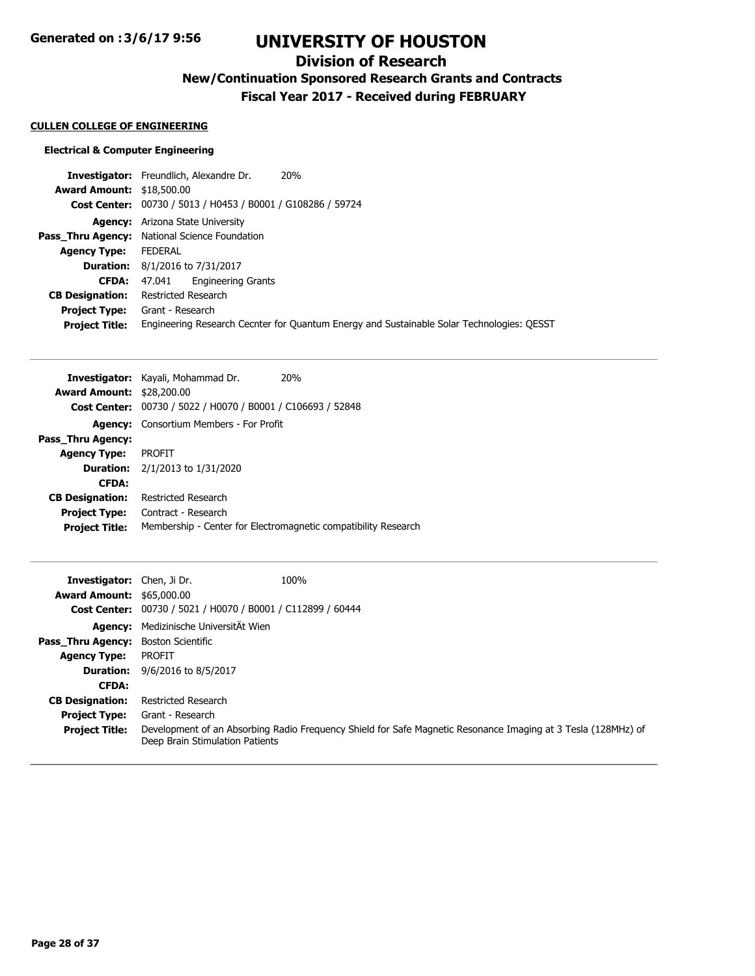# **Division of Research**

**New/Continuation Sponsored Research Grants and Contracts**

**Fiscal Year 2017 - Received during FEBRUARY**

## **CULLEN COLLEGE OF ENGINEERING**

## **Electrical & Computer Engineering**

|                                  | 20%<br>Investigator: Freundlich, Alexandre Dr.                                            |
|----------------------------------|-------------------------------------------------------------------------------------------|
| <b>Award Amount: \$18,500.00</b> |                                                                                           |
|                                  | Cost Center: 00730 / 5013 / H0453 / B0001 / G108286 / 59724                               |
|                                  | <b>Agency:</b> Arizona State University                                                   |
|                                  | <b>Pass_Thru Agency:</b> National Science Foundation                                      |
| <b>Agency Type:</b>              | FEDERAL                                                                                   |
|                                  | <b>Duration:</b> 8/1/2016 to 7/31/2017                                                    |
|                                  | <b>Engineering Grants</b><br><b>CFDA:</b> $47.041$                                        |
| <b>CB Designation:</b>           | Restricted Research                                                                       |
|                                  | <b>Project Type:</b> Grant - Research                                                     |
| <b>Project Title:</b>            | Engineering Research Cecnter for Quantum Energy and Sustainable Solar Technologies: QESST |
|                                  |                                                                                           |

| <b>Investigator:</b> Kayali, Mohammad Dr.                   | 20%                                                            |
|-------------------------------------------------------------|----------------------------------------------------------------|
| <b>Award Amount: \$28,200.00</b>                            |                                                                |
| Cost Center: 00730 / 5022 / H0070 / B0001 / C106693 / 52848 |                                                                |
| <b>Agency:</b> Consortium Members - For Profit              |                                                                |
|                                                             |                                                                |
| <b>PROFIT</b>                                               |                                                                |
| <b>Duration:</b> $2/1/2013$ to $1/31/2020$                  |                                                                |
|                                                             |                                                                |
| Restricted Research                                         |                                                                |
| Contract - Research                                         |                                                                |
|                                                             | Membership - Center for Electromagnetic compatibility Research |
|                                                             |                                                                |

| <b>Investigator:</b> Chen. Ji Dr. |                                                             | 100%                                                                                                          |
|-----------------------------------|-------------------------------------------------------------|---------------------------------------------------------------------------------------------------------------|
| <b>Award Amount: \$65,000.00</b>  |                                                             |                                                                                                               |
|                                   | Cost Center: 00730 / 5021 / H0070 / B0001 / C112899 / 60444 |                                                                                                               |
| Agency:                           | Medizinische UniversitÄt Wien                               |                                                                                                               |
| Pass Thru Agency:                 | Boston Scientific                                           |                                                                                                               |
| <b>Agency Type:</b>               | <b>PROFIT</b>                                               |                                                                                                               |
| <b>Duration:</b>                  | 9/6/2016 to 8/5/2017                                        |                                                                                                               |
| <b>CFDA:</b>                      |                                                             |                                                                                                               |
| <b>CB Designation:</b>            | Restricted Research                                         |                                                                                                               |
| <b>Project Type:</b>              | Grant - Research                                            |                                                                                                               |
| <b>Project Title:</b>             | Deep Brain Stimulation Patients                             | Development of an Absorbing Radio Frequency Shield for Safe Magnetic Resonance Imaging at 3 Tesla (128MHz) of |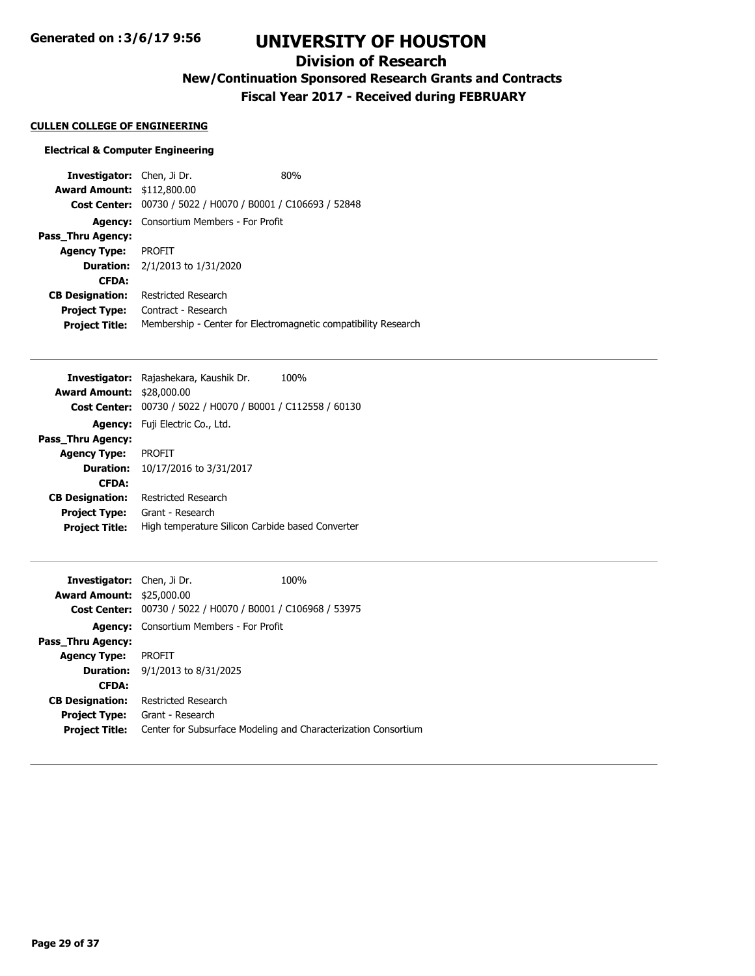**Generated on :3/6/17 9:56**

# **UNIVERSITY OF HOUSTON**

# **Division of Research**

**New/Continuation Sponsored Research Grants and Contracts**

**Fiscal Year 2017 - Received during FEBRUARY**

#### **CULLEN COLLEGE OF ENGINEERING**

#### **Electrical & Computer Engineering**

**Investigator:** Chen, Ji Dr. 80% **Award Amount:** \$112,800.00 **Cost Center:** 00730 / 5022 / H0070 / B0001 / C106693 / 52848 **Agency:** Consortium Members - For Profit **Pass\_Thru Agency: Agency Type:** PROFIT **Duration:** 2/1/2013 to 1/31/2020 **CFDA: CB Designation:** Restricted Research **Project Type:** Contract - Research **Project Title:** Membership - Center for Electromagnetic compatibility Research

|                                  | Investigator: Rajashekara, Kaushik Dr.<br>100%   |
|----------------------------------|--------------------------------------------------|
| <b>Award Amount: \$28,000.00</b> |                                                  |
| <b>Cost Center:</b>              | 00730 / 5022 / H0070 / B0001 / C112558 / 60130   |
| <b>Agency:</b>                   | Fuji Electric Co., Ltd.                          |
| Pass Thru Agency:                |                                                  |
| <b>Agency Type:</b>              | <b>PROFIT</b>                                    |
| <b>Duration:</b>                 | 10/17/2016 to 3/31/2017                          |
| <b>CFDA:</b>                     |                                                  |
| <b>CB Designation:</b>           | Restricted Research                              |
| <b>Project Type:</b>             | Grant - Research                                 |
| <b>Project Title:</b>            | High temperature Silicon Carbide based Converter |

| <b>Investigator:</b> Chen, Ji Dr. |                                                | 100%                                                           |
|-----------------------------------|------------------------------------------------|----------------------------------------------------------------|
| <b>Award Amount: \$25,000.00</b>  |                                                |                                                                |
| <b>Cost Center:</b>               | 00730 / 5022 / H0070 / B0001 / C106968 / 53975 |                                                                |
|                                   | <b>Agency:</b> Consortium Members - For Profit |                                                                |
| Pass Thru Agency:                 |                                                |                                                                |
| <b>Agency Type:</b>               | <b>PROFIT</b>                                  |                                                                |
|                                   | <b>Duration:</b> $9/1/2013$ to $8/31/2025$     |                                                                |
| <b>CFDA:</b>                      |                                                |                                                                |
| <b>CB Designation:</b>            | Restricted Research                            |                                                                |
| <b>Project Type:</b>              | Grant - Research                               |                                                                |
| <b>Project Title:</b>             |                                                | Center for Subsurface Modeling and Characterization Consortium |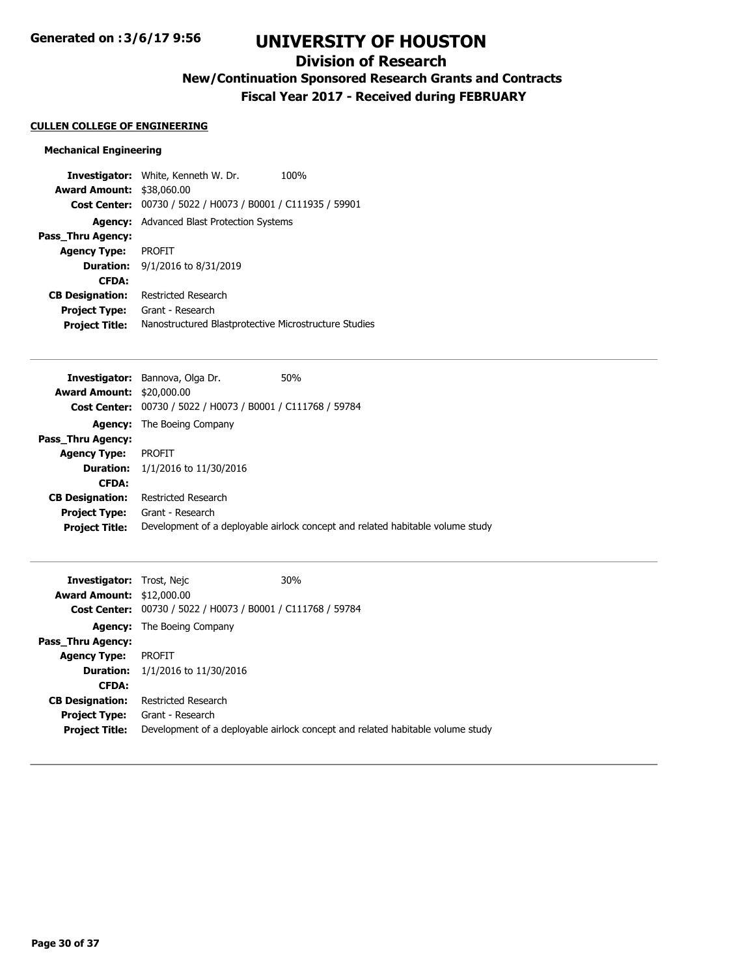# **Division of Research**

**New/Continuation Sponsored Research Grants and Contracts**

**Fiscal Year 2017 - Received during FEBRUARY**

## **CULLEN COLLEGE OF ENGINEERING**

## **Mechanical Engineering**

|                                  | <b>Investigator:</b> White, Kenneth W. Dr.            | 100% |
|----------------------------------|-------------------------------------------------------|------|
| <b>Award Amount: \$38,060.00</b> |                                                       |      |
| <b>Cost Center:</b>              | 00730 / 5022 / H0073 / B0001 / C111935 / 59901        |      |
|                                  | <b>Agency:</b> Advanced Blast Protection Systems      |      |
| Pass Thru Agency:                |                                                       |      |
| <b>Agency Type:</b>              | <b>PROFIT</b>                                         |      |
| <b>Duration:</b>                 | 9/1/2016 to 8/31/2019                                 |      |
| <b>CFDA:</b>                     |                                                       |      |
| <b>CB Designation:</b>           | Restricted Research                                   |      |
| <b>Project Type:</b>             | Grant - Research                                      |      |
| <b>Project Title:</b>            | Nanostructured Blastprotective Microstructure Studies |      |

|                                  | <b>Investigator:</b> Bannova, Olga Dr.                             | 50%                                                                            |
|----------------------------------|--------------------------------------------------------------------|--------------------------------------------------------------------------------|
| <b>Award Amount: \$20,000.00</b> |                                                                    |                                                                                |
|                                  | <b>Cost Center:</b> 00730 / 5022 / H0073 / B0001 / C111768 / 59784 |                                                                                |
|                                  | <b>Agency:</b> The Boeing Company                                  |                                                                                |
| Pass_Thru Agency:                |                                                                    |                                                                                |
| <b>Agency Type:</b>              | <b>PROFIT</b>                                                      |                                                                                |
|                                  | <b>Duration:</b> $1/1/2016$ to $11/30/2016$                        |                                                                                |
| <b>CFDA:</b>                     |                                                                    |                                                                                |
| <b>CB Designation:</b>           | Restricted Research                                                |                                                                                |
| <b>Project Type:</b>             | Grant - Research                                                   |                                                                                |
| <b>Project Title:</b>            |                                                                    | Development of a deployable airlock concept and related habitable volume study |
|                                  |                                                                    |                                                                                |

| <b>Investigator:</b> Trost, Nejc |                                                             | 30%                                                                            |
|----------------------------------|-------------------------------------------------------------|--------------------------------------------------------------------------------|
| <b>Award Amount: \$12,000.00</b> |                                                             |                                                                                |
|                                  | Cost Center: 00730 / 5022 / H0073 / B0001 / C111768 / 59784 |                                                                                |
|                                  | <b>Agency:</b> The Boeing Company                           |                                                                                |
| <b>Pass Thru Agency:</b>         |                                                             |                                                                                |
| <b>Agency Type:</b>              | PROFIT                                                      |                                                                                |
| <b>Duration:</b>                 | 1/1/2016 to 11/30/2016                                      |                                                                                |
| <b>CFDA:</b>                     |                                                             |                                                                                |
| <b>CB Designation:</b>           | Restricted Research                                         |                                                                                |
| <b>Project Type:</b>             | Grant - Research                                            |                                                                                |
| <b>Project Title:</b>            |                                                             | Development of a deployable airlock concept and related habitable volume study |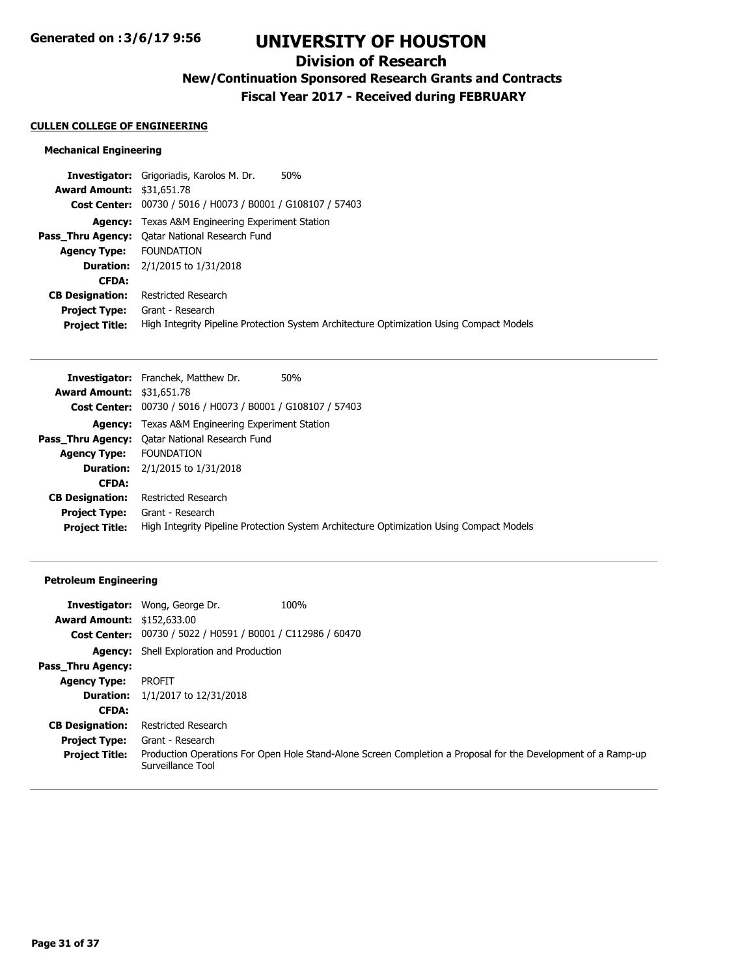# **Division of Research**

**New/Continuation Sponsored Research Grants and Contracts**

**Fiscal Year 2017 - Received during FEBRUARY**

#### **CULLEN COLLEGE OF ENGINEERING**

## **Mechanical Engineering**

| <b>Investigator:</b> Grigoriadis, Karolos M. Dr.<br>50%                                                           |  |
|-------------------------------------------------------------------------------------------------------------------|--|
| <b>Award Amount: \$31,651.78</b>                                                                                  |  |
| Cost Center: 00730 / 5016 / H0073 / B0001 / G108107 / 57403                                                       |  |
| <b>Agency:</b> Texas A&M Engineering Experiment Station                                                           |  |
| <b>Pass Thru Agency:</b> Oatar National Research Fund                                                             |  |
| <b>Agency Type: FOUNDATION</b>                                                                                    |  |
| <b>Duration:</b> $2/1/2015$ to $1/31/2018$                                                                        |  |
| <b>CFDA:</b>                                                                                                      |  |
| Restricted Research<br><b>CB Designation:</b>                                                                     |  |
| <b>Project Type:</b><br>Grant - Research                                                                          |  |
| High Integrity Pipeline Protection System Architecture Optimization Using Compact Models<br><b>Project Title:</b> |  |

|                                  | <b>Investigator:</b> Franchek, Matthew Dr.<br>50%                                        |
|----------------------------------|------------------------------------------------------------------------------------------|
| <b>Award Amount: \$31,651.78</b> |                                                                                          |
|                                  | Cost Center: 00730 / 5016 / H0073 / B0001 / G108107 / 57403                              |
|                                  | <b>Agency:</b> Texas A&M Engineering Experiment Station                                  |
|                                  | <b>Pass_Thru Agency:</b> Qatar National Research Fund                                    |
| <b>Agency Type:</b>              | <b>FOUNDATION</b>                                                                        |
|                                  | <b>Duration:</b> $2/1/2015$ to $1/31/2018$                                               |
| <b>CFDA:</b>                     |                                                                                          |
| <b>CB Designation:</b>           | Restricted Research                                                                      |
| <b>Project Type:</b>             | Grant - Research                                                                         |
| <b>Project Title:</b>            | High Integrity Pipeline Protection System Architecture Optimization Using Compact Models |

## **Petroleum Engineering**

|                                   | <b>Investigator:</b> Wong, George Dr.                       | 100%                                                                                                          |
|-----------------------------------|-------------------------------------------------------------|---------------------------------------------------------------------------------------------------------------|
| <b>Award Amount: \$152,633.00</b> |                                                             |                                                                                                               |
|                                   | Cost Center: 00730 / 5022 / H0591 / B0001 / C112986 / 60470 |                                                                                                               |
|                                   | <b>Agency:</b> Shell Exploration and Production             |                                                                                                               |
| <b>Pass Thru Agency:</b>          |                                                             |                                                                                                               |
| <b>Agency Type:</b>               | PROFIT                                                      |                                                                                                               |
| <b>Duration:</b>                  | 1/1/2017 to 12/31/2018                                      |                                                                                                               |
| <b>CFDA:</b>                      |                                                             |                                                                                                               |
| <b>CB Designation:</b>            | Restricted Research                                         |                                                                                                               |
| <b>Project Type:</b>              | Grant - Research                                            |                                                                                                               |
| <b>Project Title:</b>             | Surveillance Tool                                           | Production Operations For Open Hole Stand-Alone Screen Completion a Proposal for the Development of a Ramp-up |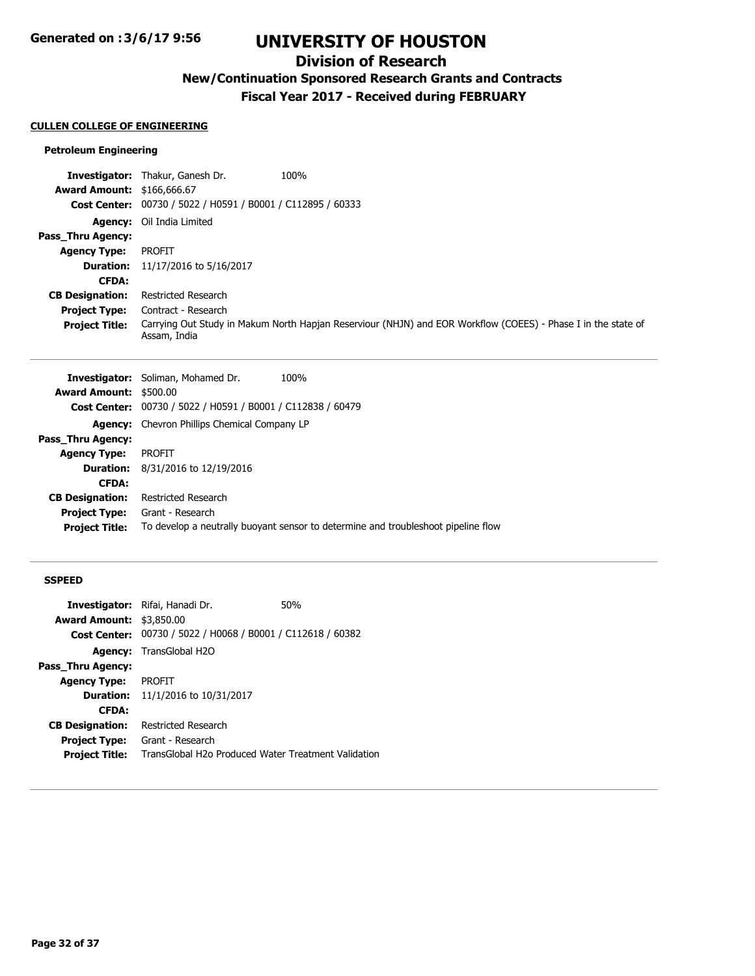# **Division of Research**

**New/Continuation Sponsored Research Grants and Contracts**

**Fiscal Year 2017 - Received during FEBRUARY**

## **CULLEN COLLEGE OF ENGINEERING**

## **Petroleum Engineering**

|                                   | <b>Investigator:</b> Thakur, Ganesh Dr.                            | 100%                                                                                                          |
|-----------------------------------|--------------------------------------------------------------------|---------------------------------------------------------------------------------------------------------------|
| <b>Award Amount: \$166,666.67</b> |                                                                    |                                                                                                               |
|                                   | <b>Cost Center:</b> 00730 / 5022 / H0591 / B0001 / C112895 / 60333 |                                                                                                               |
|                                   | <b>Agency:</b> Oil India Limited                                   |                                                                                                               |
| Pass Thru Agency:                 |                                                                    |                                                                                                               |
| <b>Agency Type:</b>               | <b>PROFIT</b>                                                      |                                                                                                               |
| <b>Duration:</b>                  | 11/17/2016 to 5/16/2017                                            |                                                                                                               |
| <b>CFDA:</b>                      |                                                                    |                                                                                                               |
| <b>CB Designation:</b>            | Restricted Research                                                |                                                                                                               |
| <b>Project Type:</b>              | Contract - Research                                                |                                                                                                               |
| <b>Project Title:</b>             | Assam, India                                                       | Carrying Out Study in Makum North Hapjan Reserviour (NHJN) and EOR Workflow (COEES) - Phase I in the state of |

|                               | <b>Investigator:</b> Soliman, Mohamed Dr.<br>100%                                 |
|-------------------------------|-----------------------------------------------------------------------------------|
| <b>Award Amount: \$500.00</b> |                                                                                   |
|                               | <b>Cost Center:</b> 00730 / 5022 / H0591 / B0001 / C112838 / 60479                |
|                               | <b>Agency:</b> Chevron Phillips Chemical Company LP                               |
| Pass_Thru Agency:             |                                                                                   |
| <b>Agency Type:</b>           | PROFIT                                                                            |
|                               | <b>Duration:</b> 8/31/2016 to 12/19/2016                                          |
| <b>CFDA:</b>                  |                                                                                   |
| <b>CB Designation:</b>        | Restricted Research                                                               |
|                               | <b>Project Type:</b> Grant - Research                                             |
| <b>Project Title:</b>         | To develop a neutrally buoyant sensor to determine and troubleshoot pipeline flow |
|                               |                                                                                   |

#### **SSPEED**

|                                 | <b>Investigator:</b> Rifai, Hanadi Dr.                             | 50% |
|---------------------------------|--------------------------------------------------------------------|-----|
| <b>Award Amount: \$3,850.00</b> |                                                                    |     |
|                                 | <b>Cost Center:</b> 00730 / 5022 / H0068 / B0001 / C112618 / 60382 |     |
|                                 | <b>Agency:</b> TransGlobal H2O                                     |     |
| Pass Thru Agency:               |                                                                    |     |
| <b>Agency Type:</b>             | PROFIT                                                             |     |
|                                 | <b>Duration:</b> 11/1/2016 to 10/31/2017                           |     |
| <b>CFDA:</b>                    |                                                                    |     |
| <b>CB Designation:</b>          | Restricted Research                                                |     |
| Project Type:                   | Grant - Research                                                   |     |
| <b>Project Title:</b>           | TransGlobal H2o Produced Water Treatment Validation                |     |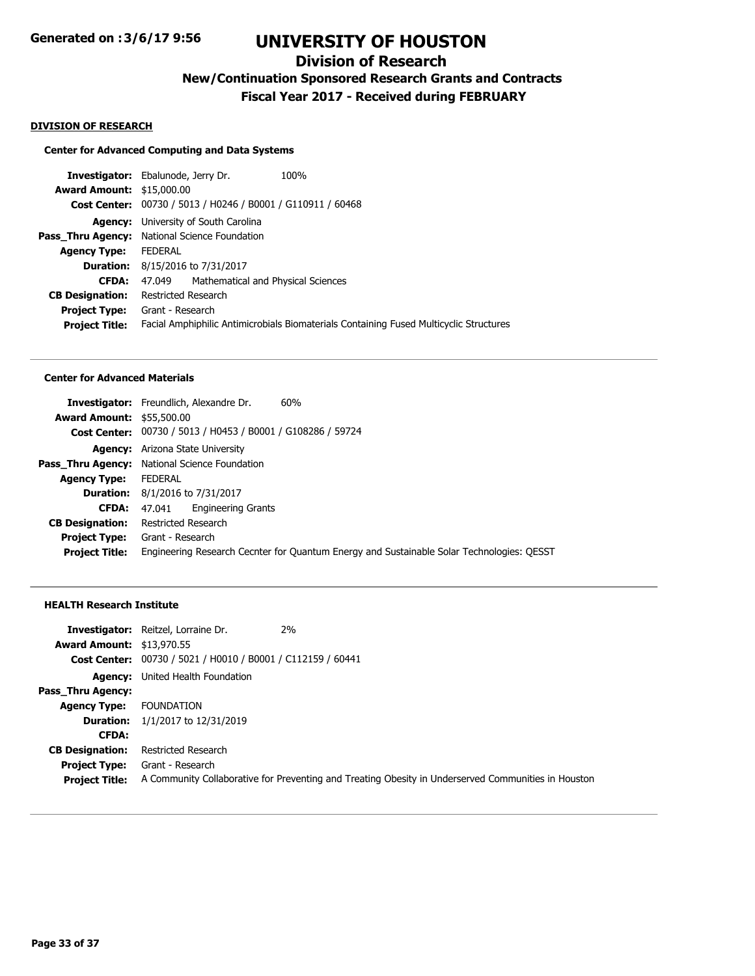# **Division of Research**

**New/Continuation Sponsored Research Grants and Contracts**

**Fiscal Year 2017 - Received during FEBRUARY**

#### **DIVISION OF RESEARCH**

### **Center for Advanced Computing and Data Systems**

|                                  | <b>Investigator:</b> Ebalunode, Jerry Dr.                                              | 100% |
|----------------------------------|----------------------------------------------------------------------------------------|------|
| <b>Award Amount: \$15,000.00</b> |                                                                                        |      |
|                                  | Cost Center: 00730 / 5013 / H0246 / B0001 / G110911 / 60468                            |      |
|                                  | <b>Agency:</b> University of South Carolina                                            |      |
|                                  | <b>Pass_Thru Agency:</b> National Science Foundation                                   |      |
| <b>Agency Type:</b>              | <b>FEDERAL</b>                                                                         |      |
| <b>Duration:</b>                 | 8/15/2016 to 7/31/2017                                                                 |      |
| <b>CFDA:</b>                     | Mathematical and Physical Sciences<br>47.049                                           |      |
| <b>CB Designation:</b>           | Restricted Research                                                                    |      |
|                                  | <b>Project Type:</b> Grant - Research                                                  |      |
| <b>Project Title:</b>            | Facial Amphiphilic Antimicrobials Biomaterials Containing Fused Multicyclic Structures |      |
|                                  |                                                                                        |      |

### **Center for Advanced Materials**

|                                  | 60%<br><b>Investigator:</b> Freundlich, Alexandre Dr.                                     |
|----------------------------------|-------------------------------------------------------------------------------------------|
| <b>Award Amount: \$55,500.00</b> |                                                                                           |
|                                  | Cost Center: 00730 / 5013 / H0453 / B0001 / G108286 / 59724                               |
|                                  | <b>Agency:</b> Arizona State University                                                   |
| Pass Thru Agency:                | National Science Foundation                                                               |
| <b>Agency Type:</b>              | <b>FFDFRAL</b>                                                                            |
|                                  | <b>Duration:</b> 8/1/2016 to 7/31/2017                                                    |
| <b>CFDA:</b>                     | <b>Engineering Grants</b><br>47.041                                                       |
| <b>CB Designation:</b>           | Restricted Research                                                                       |
| <b>Project Type:</b>             | Grant - Research                                                                          |
| <b>Project Title:</b>            | Engineering Research Cecnter for Quantum Energy and Sustainable Solar Technologies: QESST |
|                                  |                                                                                           |

## **HEALTH Research Institute**

|                                  | <b>Investigator:</b> Reitzel, Lorraine Dr.                  | <b>2%</b>                                                                                           |
|----------------------------------|-------------------------------------------------------------|-----------------------------------------------------------------------------------------------------|
| <b>Award Amount: \$13,970.55</b> |                                                             |                                                                                                     |
|                                  | Cost Center: 00730 / 5021 / H0010 / B0001 / C112159 / 60441 |                                                                                                     |
|                                  | <b>Agency:</b> United Health Foundation                     |                                                                                                     |
| Pass Thru Agency:                |                                                             |                                                                                                     |
| <b>Agency Type:</b>              | <b>FOUNDATION</b>                                           |                                                                                                     |
| <b>Duration:</b>                 | 1/1/2017 to 12/31/2019                                      |                                                                                                     |
| <b>CFDA:</b>                     |                                                             |                                                                                                     |
| <b>CB Designation:</b>           | Restricted Research                                         |                                                                                                     |
|                                  | <b>Project Type:</b> Grant - Research                       |                                                                                                     |
| <b>Project Title:</b>            |                                                             | A Community Collaborative for Preventing and Treating Obesity in Underserved Communities in Houston |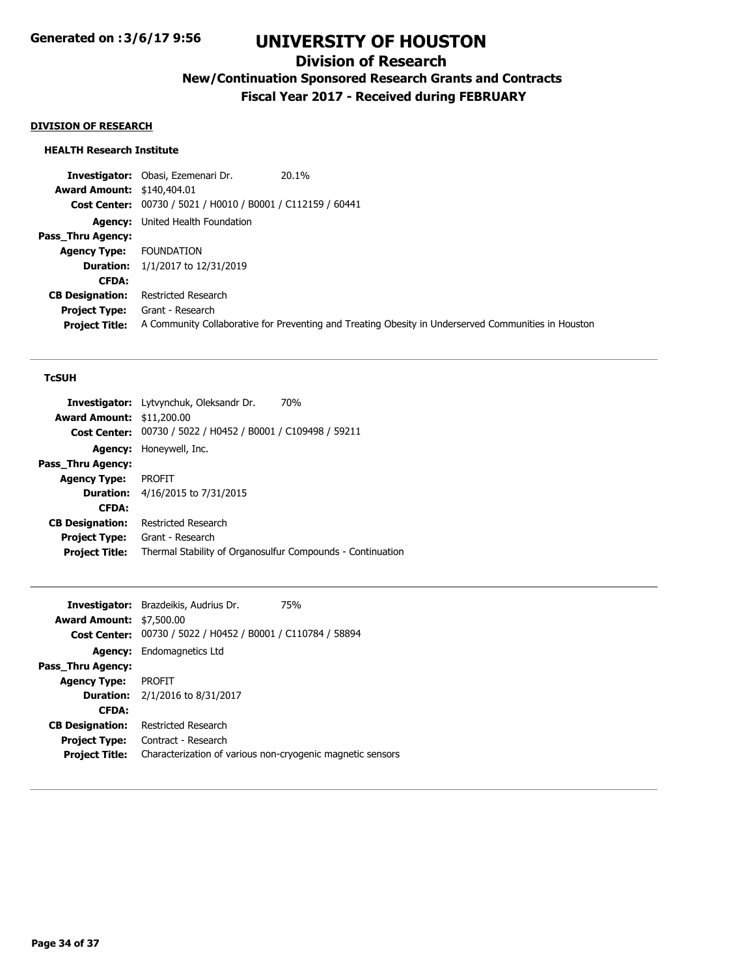## **Division of Research**

**New/Continuation Sponsored Research Grants and Contracts**

**Fiscal Year 2017 - Received during FEBRUARY**

## **DIVISION OF RESEARCH**

### **HEALTH Research Institute**

**Investigator:** Obasi, Ezemenari Dr. 20.1% **Award Amount:** \$140,404.01 **Cost Center:** 00730 / 5021 / H0010 / B0001 / C112159 / 60441 **Agency:** United Health Foundation **Pass\_Thru Agency: Agency Type:** FOUNDATION **Duration:** 1/1/2017 to 12/31/2019 **CFDA: CB Designation:** Restricted Research **Project Type:** Grant - Research **Project Title:** A Community Collaborative for Preventing and Treating Obesity in Underserved Communities in Houston

#### **TcSUH**

| <b>Award Amount: \$11,200.00</b>                                                    |  |
|-------------------------------------------------------------------------------------|--|
|                                                                                     |  |
| Cost Center: 00730 / 5022 / H0452 / B0001 / C109498 / 59211                         |  |
| <b>Agency:</b> Honeywell, Inc.                                                      |  |
| Pass Thru Agency:                                                                   |  |
| <b>PROFIT</b><br><b>Agency Type:</b>                                                |  |
| <b>Duration:</b> 4/16/2015 to 7/31/2015                                             |  |
| <b>CFDA:</b>                                                                        |  |
| <b>CB Designation:</b><br>Restricted Research                                       |  |
| <b>Project Type:</b><br>Grant - Research                                            |  |
| Thermal Stability of Organosulfur Compounds - Continuation<br><b>Project Title:</b> |  |

|                                 | <b>Investigator:</b> Brazdeikis, Audrius Dr.                | <b>75%</b> |
|---------------------------------|-------------------------------------------------------------|------------|
| <b>Award Amount: \$7,500.00</b> |                                                             |            |
|                                 | Cost Center: 00730 / 5022 / H0452 / B0001 / C110784 / 58894 |            |
|                                 | <b>Agency:</b> Endomagnetics Ltd                            |            |
| Pass Thru Agency:               |                                                             |            |
| <b>Agency Type:</b>             | <b>PROFIT</b>                                               |            |
|                                 | <b>Duration:</b> $2/1/2016$ to $8/31/2017$                  |            |
| <b>CFDA:</b>                    |                                                             |            |
| <b>CB Designation:</b>          | Restricted Research                                         |            |
| <b>Project Type:</b>            | Contract - Research                                         |            |
| <b>Project Title:</b>           | Characterization of various non-cryogenic magnetic sensors  |            |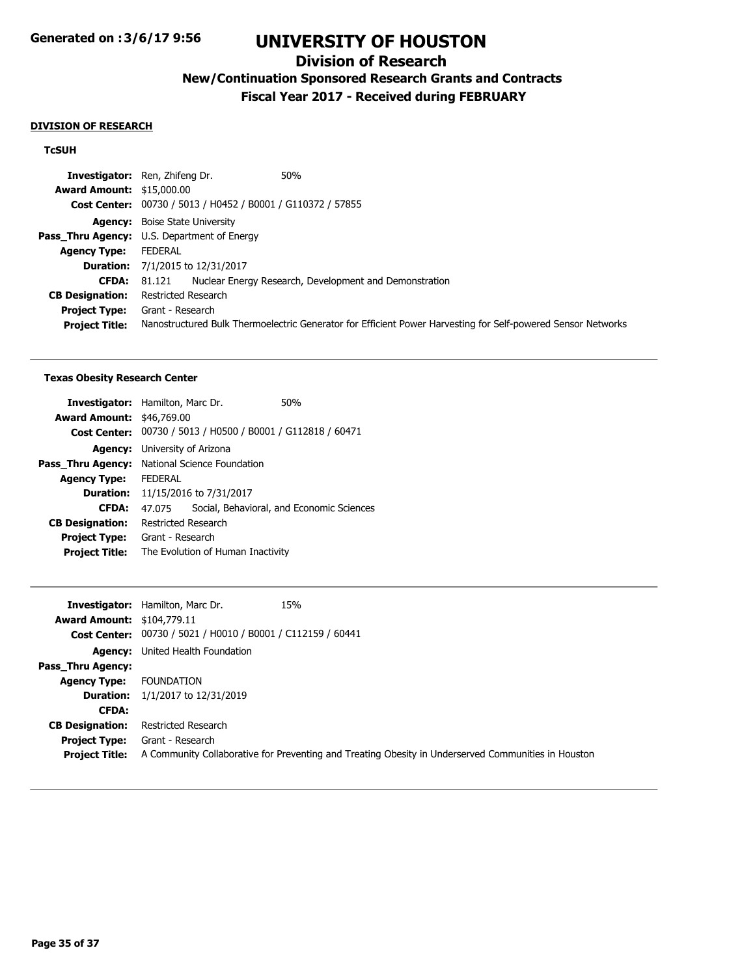# **Division of Research**

# **New/Continuation Sponsored Research Grants and Contracts**

**Fiscal Year 2017 - Received during FEBRUARY**

#### **DIVISION OF RESEARCH**

### **TcSUH**

|                                  | <b>Investigator:</b> Ren, Zhifeng Dr.<br>50%                                                                 |
|----------------------------------|--------------------------------------------------------------------------------------------------------------|
| <b>Award Amount: \$15,000.00</b> |                                                                                                              |
|                                  | Cost Center: 00730 / 5013 / H0452 / B0001 / G110372 / 57855                                                  |
|                                  | <b>Agency:</b> Boise State University                                                                        |
|                                  | <b>Pass_Thru Agency:</b> U.S. Department of Energy                                                           |
| <b>Agency Type:</b>              | FEDERAL                                                                                                      |
|                                  | <b>Duration:</b> 7/1/2015 to 12/31/2017                                                                      |
| <b>CFDA:</b>                     | Nuclear Energy Research, Development and Demonstration<br>81.121                                             |
| <b>CB Designation:</b>           | Restricted Research                                                                                          |
| <b>Project Type:</b>             | Grant - Research                                                                                             |
| <b>Project Title:</b>            | Nanostructured Bulk Thermoelectric Generator for Efficient Power Harvesting for Self-powered Sensor Networks |

#### **Texas Obesity Research Center**

| <b>Investigator:</b> Hamilton, Marc Dr. |                       |                                                             | 50%                                       |
|-----------------------------------------|-----------------------|-------------------------------------------------------------|-------------------------------------------|
| <b>Award Amount: \$46,769.00</b>        |                       |                                                             |                                           |
|                                         |                       | Cost Center: 00730 / 5013 / H0500 / B0001 / G112818 / 60471 |                                           |
| <b>Agency:</b>                          | University of Arizona |                                                             |                                           |
| Pass Thru Agency:                       |                       | National Science Foundation                                 |                                           |
| <b>Agency Type:</b>                     | <b>FFDFRAI</b>        |                                                             |                                           |
|                                         |                       | <b>Duration:</b> 11/15/2016 to 7/31/2017                    |                                           |
| <b>CFDA:</b>                            | 47.075                |                                                             | Social, Behavioral, and Economic Sciences |
| <b>CB Designation:</b>                  | Restricted Research   |                                                             |                                           |
| <b>Project Type:</b>                    | Grant - Research      |                                                             |                                           |
| <b>Project Title:</b>                   |                       | The Evolution of Human Inactivity                           |                                           |
|                                         |                       |                                                             |                                           |

|                                   | <b>Investigator:</b> Hamilton, Marc Dr.<br>15%                                                      |
|-----------------------------------|-----------------------------------------------------------------------------------------------------|
| <b>Award Amount: \$104,779.11</b> |                                                                                                     |
|                                   | Cost Center: 00730 / 5021 / H0010 / B0001 / C112159 / 60441                                         |
|                                   | <b>Agency:</b> United Health Foundation                                                             |
| Pass Thru Agency:                 |                                                                                                     |
| <b>Agency Type:</b>               | FOUNDATION                                                                                          |
| <b>Duration:</b>                  | 1/1/2017 to 12/31/2019                                                                              |
| <b>CFDA:</b>                      |                                                                                                     |
| <b>CB Designation:</b>            | Restricted Research                                                                                 |
| <b>Project Type:</b>              | Grant - Research                                                                                    |
| <b>Project Title:</b>             | A Community Collaborative for Preventing and Treating Obesity in Underserved Communities in Houston |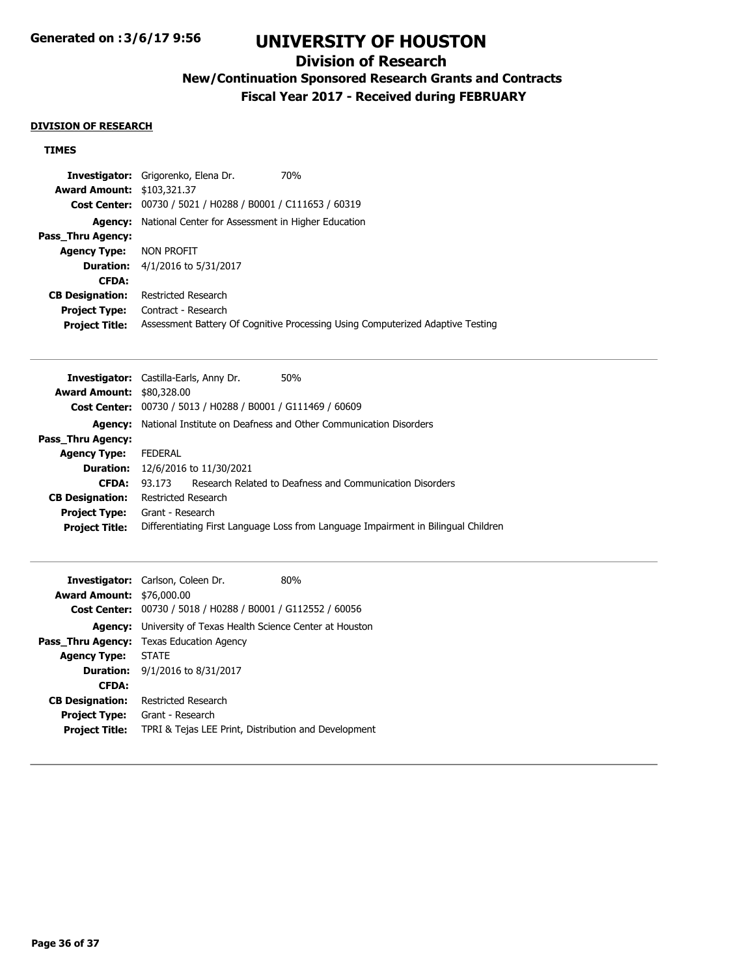# **Division of Research**

# **New/Continuation Sponsored Research Grants and Contracts**

**Fiscal Year 2017 - Received during FEBRUARY**

#### **DIVISION OF RESEARCH**

### **TIMES**

| <b>Investigator:</b> Grigorenko, Elena Dr.<br>70%                              |
|--------------------------------------------------------------------------------|
| <b>Award Amount: \$103,321.37</b>                                              |
| Cost Center: 00730 / 5021 / H0288 / B0001 / C111653 / 60319                    |
| National Center for Assessment in Higher Education                             |
|                                                                                |
| NON PROFIT                                                                     |
| <b>Duration:</b> 4/1/2016 to 5/31/2017                                         |
|                                                                                |
| Restricted Research                                                            |
| Contract - Research                                                            |
| Assessment Battery Of Cognitive Processing Using Computerized Adaptive Testing |
|                                                                                |

| <b>Investigator:</b> Castilla-Earls, Anny Dr. |                     |                                                | 50%                                                                                |
|-----------------------------------------------|---------------------|------------------------------------------------|------------------------------------------------------------------------------------|
| <b>Award Amount: \$80,328.00</b>              |                     |                                                |                                                                                    |
| <b>Cost Center:</b>                           |                     | 00730 / 5013 / H0288 / B0001 / G111469 / 60609 |                                                                                    |
| <b>Agency:</b>                                |                     |                                                | National Institute on Deafness and Other Communication Disorders                   |
| Pass Thru Agency:                             |                     |                                                |                                                                                    |
| <b>Agency Type:</b>                           | <b>FEDERAL</b>      |                                                |                                                                                    |
| <b>Duration:</b>                              |                     | 12/6/2016 to 11/30/2021                        |                                                                                    |
| <b>CFDA:</b>                                  | 93 173              |                                                | Research Related to Deafness and Communication Disorders                           |
| <b>CB Designation:</b>                        | Restricted Research |                                                |                                                                                    |
| <b>Project Type:</b>                          | Grant - Research    |                                                |                                                                                    |
| <b>Project Title:</b>                         |                     |                                                | Differentiating First Language Loss from Language Impairment in Bilingual Children |
|                                               |                     |                                                |                                                                                    |

|                                  | <b>Investigator:</b> Carlson, Coleen Dr.                            | 80% |  |
|----------------------------------|---------------------------------------------------------------------|-----|--|
| <b>Award Amount: \$76,000.00</b> |                                                                     |     |  |
|                                  | Cost Center: 00730 / 5018 / H0288 / B0001 / G112552 / 60056         |     |  |
|                                  | <b>Agency:</b> University of Texas Health Science Center at Houston |     |  |
|                                  | <b>Pass Thru Agency:</b> Texas Education Agency                     |     |  |
| <b>Agency Type:</b>              | <b>STATE</b>                                                        |     |  |
|                                  | <b>Duration:</b> $9/1/2016$ to $8/31/2017$                          |     |  |
| <b>CFDA:</b>                     |                                                                     |     |  |
| <b>CB Designation:</b>           | <b>Restricted Research</b>                                          |     |  |
| <b>Project Type:</b>             | Grant - Research                                                    |     |  |
| <b>Project Title:</b>            | TPRI & Tejas LEE Print, Distribution and Development                |     |  |